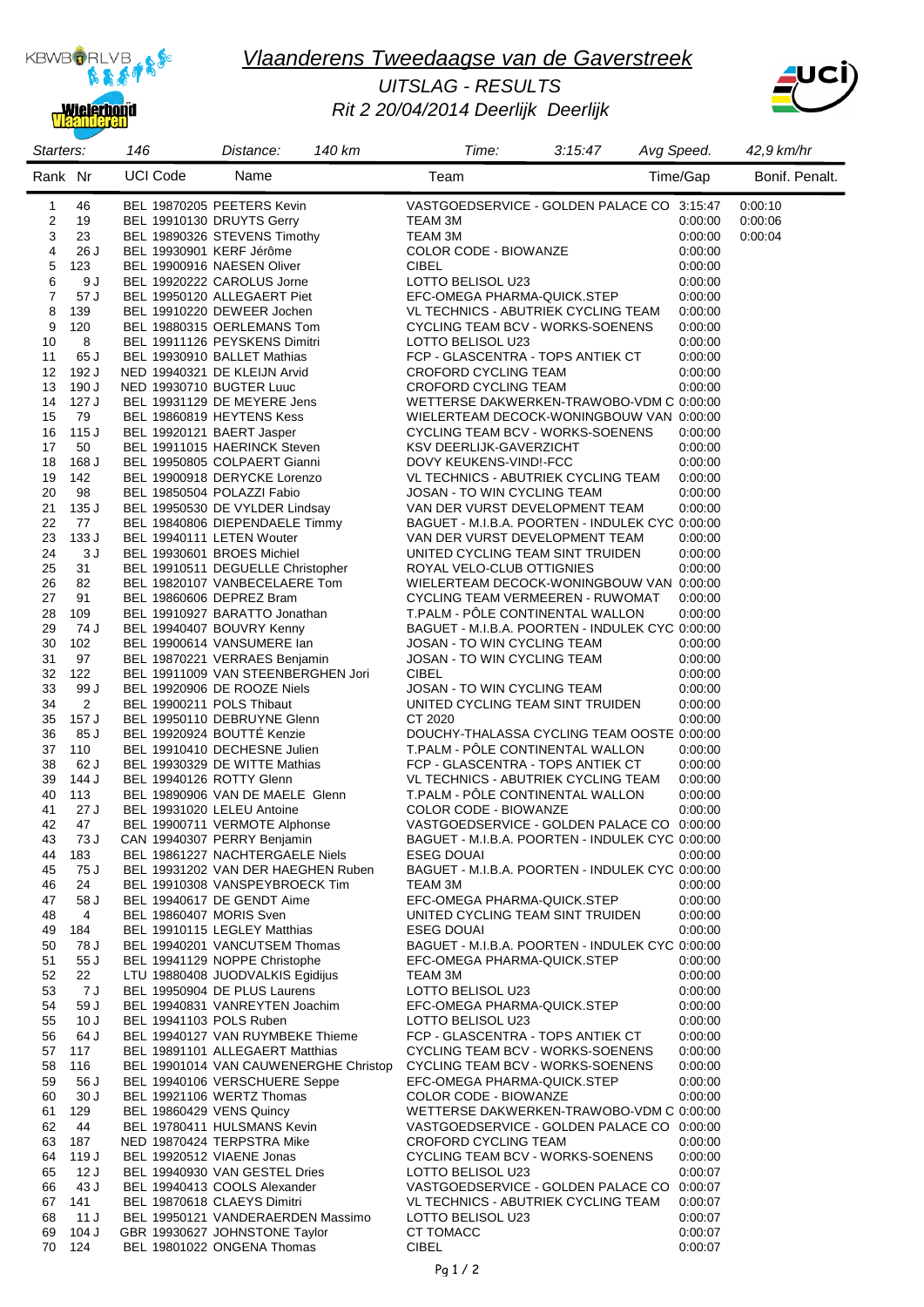

**Mielerbond** 

# *Vlaanderens Tweedaagse van de Gaverstreek*

### *Rit 2 20/04/2014 Deerlijk Deerlijk UITSLAG - RESULTS*



| Starters:    |               | 146                       | 140 km<br>Distance:                                                   | Time:                                                                        | 3:15:47 | Avg Speed.         | 42,9 km/hr     |
|--------------|---------------|---------------------------|-----------------------------------------------------------------------|------------------------------------------------------------------------------|---------|--------------------|----------------|
| Rank Nr      |               | <b>UCI Code</b>           | Name                                                                  | Team                                                                         |         | Time/Gap           | Bonif. Penalt. |
| $\mathbf{1}$ | 46            |                           | BEL 19870205 PEETERS Kevin                                            | VASTGOEDSERVICE - GOLDEN PALACE CO 3:15:47                                   |         |                    | 0:00:10        |
| 2            | 19            |                           | BEL 19910130 DRUYTS Gerry                                             | TEAM 3M                                                                      |         | 0:00:00            | 0:00:06        |
| 3            | 23            |                           | BEL 19890326 STEVENS Timothy                                          | TEAM 3M                                                                      |         | 0:00:00            | 0:00:04        |
| 4            | 26 J          | BEL 19930901 KERF Jérôme  |                                                                       | COLOR CODE - BIOWANZE                                                        |         | 0.00.00            |                |
| 5            | 123           |                           | BEL 19900916 NAESEN Oliver                                            | <b>CIBEL</b>                                                                 |         | 0:00:00            |                |
| 6<br>7       | 9 J<br>57 J   |                           | BEL 19920222 CAROLUS Jorne<br>BEL 19950120 ALLEGAERT Piet             | LOTTO BELISOL U23<br>EFC-OMEGA PHARMA-QUICK.STEP                             |         | 0:00:00<br>0.00.00 |                |
| 8            | 139           |                           | BEL 19910220 DEWEER Jochen                                            | VL TECHNICS - ABUTRIEK CYCLING TEAM                                          |         | 0:00:00            |                |
| 9            | 120           |                           | BEL 19880315 OERLEMANS Tom                                            | CYCLING TEAM BCV - WORKS-SOENENS                                             |         | 0:00:00            |                |
| 10           | 8             |                           | BEL 19911126 PEYSKENS Dimitri                                         | LOTTO BELISOL U23                                                            |         | 0:00:00            |                |
| 11           | 65 J          |                           | BEL 19930910 BALLET Mathias                                           | FCP - GLASCENTRA - TOPS ANTIEK CT                                            |         | 0:00:00            |                |
| 12           | 192 J         |                           | NED 19940321 DE KLEIJN Arvid                                          | CROFORD CYCLING TEAM                                                         |         | 0:00:00            |                |
| 13           | 190 J         | NED 19930710 BUGTER Luuc  |                                                                       | CROFORD CYCLING TEAM                                                         |         | 0:00:00            |                |
| 14           | 127 J         |                           | BEL 19931129 DE MEYERE Jens                                           | WETTERSE DAKWERKEN-TRAWOBO-VDM C 0:00:00                                     |         |                    |                |
| 15           | 79            |                           | BEL 19860819 HEYTENS Kess                                             | WIELERTEAM DECOCK-WONINGBOUW VAN 0:00:00                                     |         |                    |                |
| 16<br>17     | 115 J<br>50   |                           | BEL 19920121 BAERT Jasper<br>BEL 19911015 HAERINCK Steven             | CYCLING TEAM BCV - WORKS-SOENENS<br>KSV DEERLIJK-GAVERZICHT                  |         | 0:00:00<br>0:00:00 |                |
| 18           | 168 J         |                           | BEL 19950805 COLPAERT Gianni                                          | DOVY KEUKENS-VIND!-FCC                                                       |         | 0:00:00            |                |
| 19           | 142           |                           | BEL 19900918 DERYCKE Lorenzo                                          | VL TECHNICS - ABUTRIEK CYCLING TEAM                                          |         | 0:00:00            |                |
| 20           | 98            |                           | BEL 19850504 POLAZZI Fabio                                            | JOSAN - TO WIN CYCLING TEAM                                                  |         | 0:00:00            |                |
| 21           | 135 J         |                           | BEL 19950530 DE VYLDER Lindsay                                        | VAN DER VURST DEVELOPMENT TEAM                                               |         | 0:00:00            |                |
| 22           | 77            |                           | BEL 19840806 DIEPENDAELE Timmy                                        | BAGUET - M.I.B.A. POORTEN - INDULEK CYC 0:00:00                              |         |                    |                |
| 23           | 133 J         |                           | BEL 19940111 LETEN Wouter                                             | VAN DER VURST DEVELOPMENT TEAM                                               |         | 0:00:00            |                |
| 24           | 3J            |                           | BEL 19930601 BROES Michiel                                            | UNITED CYCLING TEAM SINT TRUIDEN                                             |         | 0:00:00            |                |
| 25           | 31            |                           | BEL 19910511 DEGUELLE Christopher                                     | ROYAL VELO-CLUB OTTIGNIES                                                    |         | 0:00:00            |                |
| 26<br>27     | 82<br>91      |                           | BEL 19820107 VANBECELAERE Tom<br>BEL 19860606 DEPREZ Bram             | WIELERTEAM DECOCK-WONINGBOUW VAN 0:00:00<br>CYCLING TEAM VERMEEREN - RUWOMAT |         | 0:00:00            |                |
| 28           | 109           |                           | BEL 19910927 BARATTO Jonathan                                         | T.PALM - PÔLE CONTINENTAL WALLON                                             |         | 0:00:00            |                |
| 29           | 74 J          |                           | BEL 19940407 BOUVRY Kenny                                             | BAGUET - M.I.B.A. POORTEN - INDULEK CYC 0:00:00                              |         |                    |                |
| 30           | 102           |                           | BEL 19900614 VANSUMERE lan                                            | JOSAN - TO WIN CYCLING TEAM                                                  |         | 0:00:00            |                |
| 31           | 97            |                           | BEL 19870221 VERRAES Benjamin                                         | JOSAN - TO WIN CYCLING TEAM                                                  |         | 0:00:00            |                |
| 32           | 122           |                           | BEL 19911009 VAN STEENBERGHEN Jori                                    | <b>CIBEL</b>                                                                 |         | 0:00:00            |                |
| 33           | 99 J          |                           | BEL 19920906 DE ROOZE Niels                                           | JOSAN - TO WIN CYCLING TEAM                                                  |         | 0:00:00            |                |
| 34           | 2             | BEL 19900211 POLS Thibaut |                                                                       | UNITED CYCLING TEAM SINT TRUIDEN                                             |         | 0:00:00            |                |
| 35<br>36     | 157 J<br>85 J |                           | BEL 19950110 DEBRUYNE Glenn<br>BEL 19920924 BOUTTÉ Kenzie             | CT 2020<br>DOUCHY-THALASSA CYCLING TEAM OOSTE 0:00:00                        |         | 0:00:00            |                |
| 37           | 110           |                           | BEL 19910410 DECHESNE Julien                                          | T.PALM - PÔLE CONTINENTAL WALLON                                             |         | 0:00:00            |                |
| 38           | 62 J          |                           | BEL 19930329 DE WITTE Mathias                                         | FCP - GLASCENTRA - TOPS ANTIEK CT                                            |         | 0:00:00            |                |
| 39           | 144 J         | BEL 19940126 ROTTY Glenn  |                                                                       | VL TECHNICS - ABUTRIEK CYCLING TEAM                                          |         | 0:00:00            |                |
| 40           | 113           |                           | BEL 19890906 VAN DE MAELE Glenn                                       | T.PALM - POLE CONTINENTAL WALLON                                             |         | 0:00:00            |                |
| 41           | 27 J          |                           | BEL 19931020 LELEU Antoine                                            | COLOR CODE - BIOWANZE                                                        |         | 0.00:00            |                |
| 42           | 47            |                           | BEL 19900711 VERMOTE Alphonse                                         | VASTGOEDSERVICE - GOLDEN PALACE CO 0:00:00                                   |         |                    |                |
| 43           | 73 J          |                           | CAN 19940307 PERRY Benjamin                                           | BAGUET - M.I.B.A. POORTEN - INDULEK CYC 0:00:00                              |         |                    |                |
| 44<br>45     | 183<br>75 J   |                           | BEL 19861227 NACHTERGAELE Niels<br>BEL 19931202 VAN DER HAEGHEN Ruben | <b>ESEG DOUAI</b><br>BAGUET - M.I.B.A. POORTEN - INDULEK CYC 0:00:00         |         | 0:00:00            |                |
| 46           | 24            |                           | BEL 19910308 VANSPEYBROECK Tim                                        | TEAM 3M                                                                      |         | 0.00:00            |                |
| 47           | 58 J          |                           | BEL 19940617 DE GENDT Aime                                            | EFC-OMEGA PHARMA-QUICK.STEP                                                  |         | 0:00:00            |                |
| 48           | 4             | BEL 19860407 MORIS Sven   |                                                                       | UNITED CYCLING TEAM SINT TRUIDEN                                             |         | 0:00:00            |                |
| 49           | 184           |                           | BEL 19910115 LEGLEY Matthias                                          | <b>ESEG DOUAI</b>                                                            |         | 0.00:00            |                |
| 50           | 78 J          |                           | BEL 19940201 VANCUTSEM Thomas                                         | BAGUET - M.I.B.A. POORTEN - INDULEK CYC 0:00:00                              |         |                    |                |
| 51           | 55 J          |                           | BEL 19941129 NOPPE Christophe                                         | EFC-OMEGA PHARMA-QUICK.STEP                                                  |         | 0:00:00            |                |
| 52           | 22            |                           | LTU 19880408 JUODVALKIS Egidijus                                      | TEAM 3M                                                                      |         | 0:00:00            |                |
| 53<br>54     | 7 J<br>59 J   |                           | BEL 19950904 DE PLUS Laurens<br>BEL 19940831 VANREYTEN Joachim        | LOTTO BELISOL U23<br>EFC-OMEGA PHARMA-QUICK.STEP                             |         | 0.00:00<br>0:00:00 |                |
| 55           | 10J           | BEL 19941103 POLS Ruben   |                                                                       | LOTTO BELISOL U23                                                            |         | 0:00:00            |                |
| 56           | 64 J          |                           | BEL 19940127 VAN RUYMBEKE Thieme                                      | FCP - GLASCENTRA - TOPS ANTIEK CT                                            |         | 0:00:00            |                |
| 57           | 117           |                           | BEL 19891101 ALLEGAERT Matthias                                       | CYCLING TEAM BCV - WORKS-SOENENS                                             |         | 0:00:00            |                |
| 58           | 116           |                           | BEL 19901014 VAN CAUWENERGHE Christop                                 | CYCLING TEAM BCV - WORKS-SOENENS                                             |         | 0:00:00            |                |
| 59           | 56 J          |                           | BEL 19940106 VERSCHUERE Seppe                                         | EFC-OMEGA PHARMA-QUICK.STEP                                                  |         | 0.00:00            |                |
| 60           | 30J           |                           | BEL 19921106 WERTZ Thomas                                             | COLOR CODE - BIOWANZE                                                        |         | 0:00:00            |                |
| 61           | 129           | BEL 19860429 VENS Quincy  |                                                                       | WETTERSE DAKWERKEN-TRAWOBO-VDM C 0:00:00                                     |         |                    |                |
| 62<br>63     | 44            |                           | BEL 19780411 HULSMANS Kevin<br>NED 19870424 TERPSTRA Mike             | VASTGOEDSERVICE - GOLDEN PALACE CO 0:00:00                                   |         |                    |                |
| 64           | 187<br>119 J  |                           | BEL 19920512 VIAENE Jonas                                             | CROFORD CYCLING TEAM<br>CYCLING TEAM BCV - WORKS-SOENENS                     |         | 0:00:00<br>0:00:00 |                |
| 65           | 12 J          |                           | BEL 19940930 VAN GESTEL Dries                                         | LOTTO BELISOL U23                                                            |         | 0.00.07            |                |
| 66           | 43 J          |                           | BEL 19940413 COOLS Alexander                                          | VASTGOEDSERVICE - GOLDEN PALACE CO 0:00:07                                   |         |                    |                |
| 67           | 141           |                           | BEL 19870618 CLAEYS Dimitri                                           | VL TECHNICS - ABUTRIEK CYCLING TEAM                                          |         | 0:00:07            |                |
| 68           | 11 J          |                           | BEL 19950121 VANDERAERDEN Massimo                                     | LOTTO BELISOL U23                                                            |         | 0:00:07            |                |
| 69           | 104 J         |                           | GBR 19930627 JOHNSTONE Taylor                                         | CT TOMACC                                                                    |         | 0:00:07            |                |
| 70           | 124           |                           | BEL 19801022 ONGENA Thomas                                            | <b>CIBEL</b>                                                                 |         | 0.00.07            |                |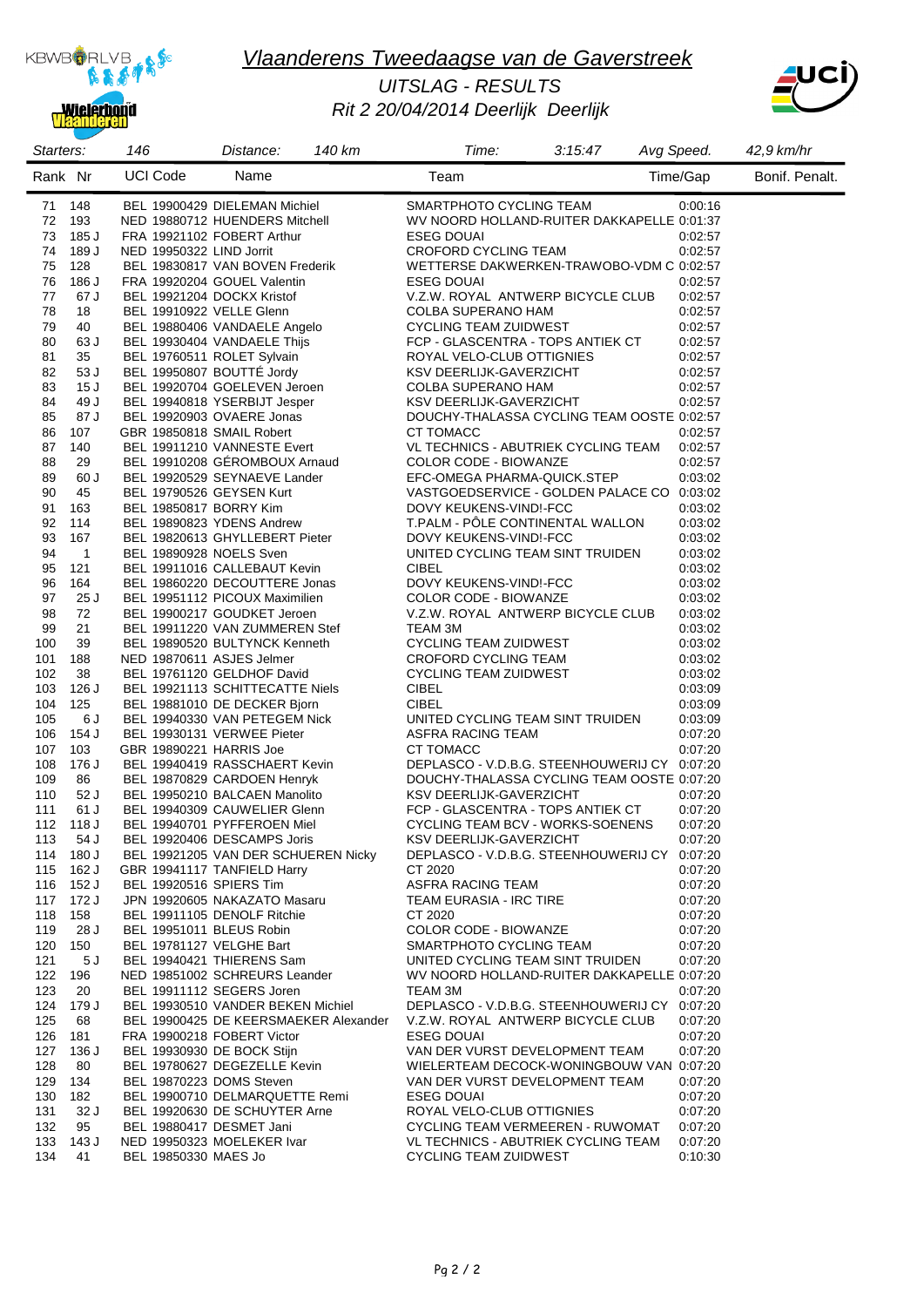

eren

# *Vlaanderens Tweedaagse van de Gaverstreek*

### *Rit 2 20/04/2014 Deerlijk Deerlijk UITSLAG - RESULTS*



| Starters:  |                | 146                       | 140 km<br>Distance:                                           | Time:                                                           | 3:15:47 | Avg Speed.         | 42,9 km/hr     |
|------------|----------------|---------------------------|---------------------------------------------------------------|-----------------------------------------------------------------|---------|--------------------|----------------|
| Rank Nr    |                | <b>UCI Code</b>           | Name                                                          | Team                                                            |         | Time/Gap           | Bonif. Penalt. |
| 71         | 148            |                           | BEL 19900429 DIELEMAN Michiel                                 | SMARTPHOTO CYCLING TEAM                                         |         | 0:00:16            |                |
| 72         | 193            |                           | NED 19880712 HUENDERS Mitchell                                | WV NOORD HOLLAND-RUITER DAKKAPELLE 0:01:37<br><b>ESEG DOUAI</b> |         |                    |                |
| 73<br>74   | 185 J<br>189 J | NED 19950322 LIND Jorrit  | FRA 19921102 FOBERT Arthur                                    | CROFORD CYCLING TEAM                                            |         | 0:02:57<br>0:02:57 |                |
| 75         | 128            |                           | BEL 19830817 VAN BOVEN Frederik                               | WETTERSE DAKWERKEN-TRAWOBO-VDM C 0:02:57                        |         |                    |                |
| 76         | 186 J          |                           | FRA 19920204 GOUEL Valentin                                   | <b>ESEG DOUAI</b>                                               |         | 0:02:57            |                |
| 77         | 67 J           |                           | BEL 19921204 DOCKX Kristof                                    | V.Z.W. ROYAL ANTWERP BICYCLE CLUB                               |         | 0.02:57            |                |
| 78         | 18             | BEL 19910922 VELLE Glenn  |                                                               | COLBA SUPERANO HAM                                              |         | 0:02:57            |                |
| 79         | 40             |                           | BEL 19880406 VANDAELE Angelo                                  | <b>CYCLING TEAM ZUIDWEST</b>                                    |         | 0:02:57            |                |
| 80         | 63 J           |                           | BEL 19930404 VANDAELE Thijs                                   | FCP - GLASCENTRA - TOPS ANTIEK CT                               |         | 0:02:57            |                |
| 81         | 35             |                           | BEL 19760511 ROLET Sylvain                                    | ROYAL VELO-CLUB OTTIGNIES                                       |         | 0:02:57            |                |
| 82         | 53 J           |                           | BEL 19950807 BOUTTÉ Jordy                                     | KSV DEERLIJK-GAVERZICHT                                         |         | 0:02:57            |                |
| 83         | 15J            |                           | BEL 19920704 GOELEVEN Jeroen                                  | COLBA SUPERANO HAM                                              |         | 0:02:57            |                |
| 84         | 49 J           |                           | BEL 19940818 YSERBIJT Jesper                                  | KSV DEERLIJK-GAVERZICHT                                         |         | 0:02:57            |                |
| 85         | 87 J           |                           | BEL 19920903 OVAERE Jonas                                     | DOUCHY-THALASSA CYCLING TEAM OOSTE 0:02:57                      |         |                    |                |
| 86         | 107            | GBR 19850818 SMAIL Robert |                                                               | CT TOMACC                                                       |         | 0:02:57            |                |
| 87         | 140            |                           | BEL 19911210 VANNESTE Evert                                   | VL TECHNICS - ABUTRIEK CYCLING TEAM                             |         | 0:02:57            |                |
| 88         | 29             |                           | BEL 19910208 GÉROMBOUX Arnaud<br>BEL 19920529 SEYNAEVE Lander | COLOR CODE - BIOWANZE<br>EFC-OMEGA PHARMA-QUICK.STEP            |         | 0:02:57            |                |
| 89<br>90   | 60 J<br>45     | BEL 19790526 GEYSEN Kurt  |                                                               | VASTGOEDSERVICE - GOLDEN PALACE CO 0:03:02                      |         | 0:03:02            |                |
| 91         | 163            | BEL 19850817 BORRY Kim    |                                                               | DOVY KEUKENS-VINDI-FCC                                          |         | 0:03:02            |                |
| 92         | 114            |                           | BEL 19890823 YDENS Andrew                                     | T.PALM - PÔLE CONTINENTAL WALLON                                |         | 0:03:02            |                |
| 93         | 167            |                           | BEL 19820613 GHYLLEBERT Pieter                                | DOVY KEUKENS-VIND!-FCC                                          |         | 0:03:02            |                |
| 94         | $\mathbf{1}$   | BEL 19890928 NOELS Sven   |                                                               | UNITED CYCLING TEAM SINT TRUIDEN                                |         | 0:03:02            |                |
| 95         | 121            |                           | BEL 19911016 CALLEBAUT Kevin                                  | <b>CIBEL</b>                                                    |         | 0:03:02            |                |
| 96         | 164            |                           | BEL 19860220 DECOUTTERE Jonas                                 | DOVY KEUKENS-VIND!-FCC                                          |         | 0:03:02            |                |
| 97         | 25 J           |                           | BEL 19951112 PICOUX Maximilien                                | COLOR CODE - BIOWANZE                                           |         | 0:03:02            |                |
| 98         | 72             |                           | BEL 19900217 GOUDKET Jeroen                                   | V.Z.W. ROYAL ANTWERP BICYCLE CLUB                               |         | 0:03:02            |                |
| 99         | 21             |                           | BEL 19911220 VAN ZUMMEREN Stef                                | TEAM 3M                                                         |         | 0:03:02            |                |
| 100        | 39             |                           | BEL 19890520 BULTYNCK Kenneth                                 | <b>CYCLING TEAM ZUIDWEST</b>                                    |         | 0:03:02            |                |
| 101        | 188            | NED 19870611 ASJES Jelmer |                                                               | CROFORD CYCLING TEAM                                            |         | 0:03:02            |                |
| 102        | 38             |                           | BEL 19761120 GELDHOF David                                    | <b>CYCLING TEAM ZUIDWEST</b>                                    |         | 0:03:02            |                |
| 103        | 126 J          |                           | BEL 19921113 SCHITTECATTE Niels                               | <b>CIBEL</b>                                                    |         | 0:03:09            |                |
| 104        | 125            |                           | BEL 19881010 DE DECKER Bjorn                                  | <b>CIBEL</b>                                                    |         | 0:03:09            |                |
| 105        | 6 J            |                           | BEL 19940330 VAN PETEGEM Nick                                 | UNITED CYCLING TEAM SINT TRUIDEN                                |         | 0:03:09            |                |
| 106        | 154 J          |                           | BEL 19930131 VERWEE Pieter                                    | <b>ASFRA RACING TEAM</b>                                        |         | 0:07:20            |                |
| 107<br>108 | 103<br>176 J   | GBR 19890221 HARRIS Joe   | BEL 19940419 RASSCHAERT Kevin                                 | CT TOMACC<br>DEPLASCO - V.D.B.G. STEENHOUWERIJ CY 0:07:20       |         | 0:07:20            |                |
| 109        | 86             |                           | BEL 19870829 CARDOEN Henryk                                   | DOUCHY-THALASSA CYCLING TEAM OOSTE 0:07:20                      |         |                    |                |
| 110        | 52 J           |                           | BEL 19950210 BALCAEN Manolito                                 | KSV DEERLIJK-GAVERZICHT                                         |         | 0:07:20            |                |
| 111        | 61 J           |                           | BEL 19940309 CAUWELIER Glenn                                  | FCP - GLASCENTRA - TOPS ANTIEK CT                               |         | 0:07:20            |                |
| 112        | 118 J          |                           | BEL 19940701 PYFFEROEN Miel                                   | CYCLING TEAM BCV - WORKS-SOENENS                                |         | 0:07:20            |                |
| 113        | 54 J           |                           | BEL 19920406 DESCAMPS Joris                                   | KSV DEERLIJK-GAVERZICHT                                         |         | 0.07:20            |                |
| 114        | 180 J          |                           | BEL 19921205 VAN DER SCHUEREN Nicky                           | DEPLASCO - V.D.B.G. STEENHOUWERIJ CY                            |         | 0:07:20            |                |
| 115        | 162 J          |                           | GBR 19941117 TANFIELD Harry                                   | CT 2020                                                         |         | 0.07:20            |                |
| 116        | 152 J          | BEL 19920516 SPIERS Tim   |                                                               | ASFRA RACING TEAM                                               |         | 0:07:20            |                |
| 117        | 172 J          |                           | JPN 19920605 NAKAZATO Masaru                                  | TEAM EURASIA - IRC TIRE                                         |         | 0.07:20            |                |
| 118        | 158            |                           | BEL 19911105 DENOLF Ritchie                                   | CT 2020                                                         |         | 0.07:20            |                |
| 119        | 28 J           | BEL 19951011 BLEUS Robin  |                                                               | COLOR CODE - BIOWANZE                                           |         | 0:07:20            |                |
| 120        | 150            | BEL 19781127 VELGHE Bart  |                                                               | SMARTPHOTO CYCLING TEAM                                         |         | 0:07:20            |                |
| 121        | 5 J            |                           | BEL 19940421 THIERENS Sam<br>NED 19851002 SCHREURS Leander    | UNITED CYCLING TEAM SINT TRUIDEN                                |         | 0:07:20            |                |
| 122<br>123 | 196<br>20      |                           | BEL 19911112 SEGERS Joren                                     | WV NOORD HOLLAND-RUITER DAKKAPELLE 0:07:20<br>TEAM 3M           |         | 0:07:20            |                |
| 124        | 179 J          |                           | BEL 19930510 VANDER BEKEN Michiel                             | DEPLASCO - V.D.B.G. STEENHOUWERIJ CY                            |         | 0:07:20            |                |
| 125        | 68             |                           | BEL 19900425 DE KEERSMAEKER Alexander                         | V.Z.W. ROYAL ANTWERP BICYCLE CLUB                               |         | 0.07:20            |                |
| 126        | 181            |                           | FRA 19900218 FOBERT Victor                                    | ESEG DOUAI                                                      |         | 0:07:20            |                |
| 127        | 136 J          |                           | BEL 19930930 DE BOCK Stijn                                    | VAN DER VURST DEVELOPMENT TEAM                                  |         | 0:07:20            |                |
| 128        | 80             |                           | BEL 19780627 DEGEZELLE Kevin                                  | WIELERTEAM DECOCK-WONINGBOUW VAN 0:07:20                        |         |                    |                |
| 129        | 134            | BEL 19870223 DOMS Steven  |                                                               | VAN DER VURST DEVELOPMENT TEAM                                  |         | 0:07:20            |                |
| 130        | 182            |                           | BEL 19900710 DELMARQUETTE Remi                                | <b>ESEG DOUAI</b>                                               |         | 0:07:20            |                |
| 131        | 32 J           |                           | BEL 19920630 DE SCHUYTER Arne                                 | ROYAL VELO-CLUB OTTIGNIES                                       |         | 0.07:20            |                |
| 132        | 95             | BEL 19880417 DESMET Jani  |                                                               | CYCLING TEAM VERMEEREN - RUWOMAT                                |         | 0.07:20            |                |
| 133        | 143 J          |                           | NED 19950323 MOELEKER Ivar                                    | VL TECHNICS - ABUTRIEK CYCLING TEAM                             |         | 0.07:20            |                |
| 134        | 41             | BEL 19850330 MAES Jo      |                                                               | <b>CYCLING TEAM ZUIDWEST</b>                                    |         | 0:10:30            |                |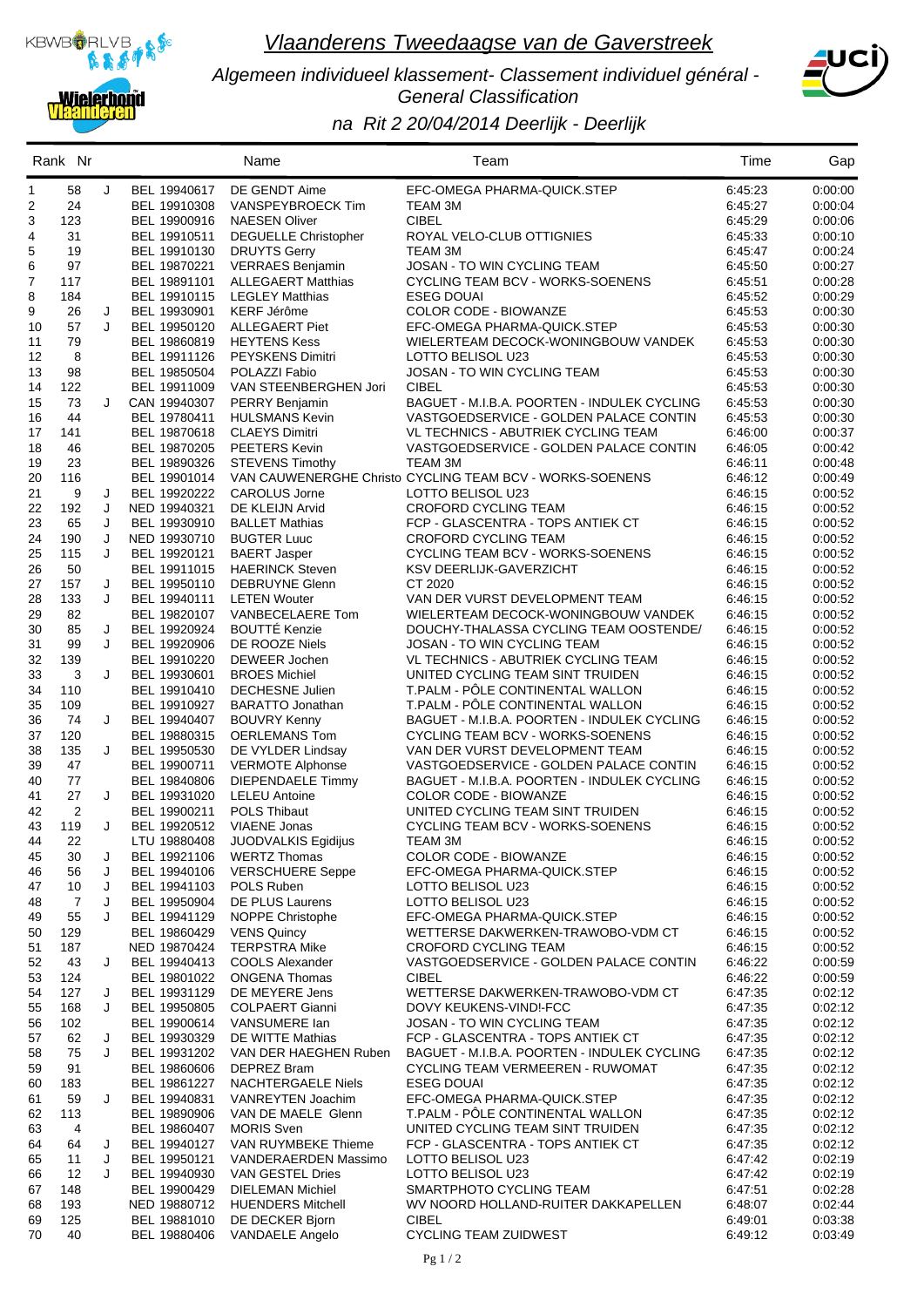

*Algemeen individueel klassement- Classement individuel général - General Classification*



### *na Rit 2 20/04/2014 Deerlijk - Deerlijk*

|          | Rank Nr        |   |                              | Name                                               | Team                                                                  | Time               | Gap                |
|----------|----------------|---|------------------------------|----------------------------------------------------|-----------------------------------------------------------------------|--------------------|--------------------|
| 1        | 58             | J | BEL 19940617                 | DE GENDT Aime                                      | EFC-OMEGA PHARMA-QUICK.STEP                                           | 6:45:23            | 0:00:00            |
| 2        | 24             |   | BEL 19910308                 | VANSPEYBROECK Tim                                  | TEAM 3M                                                               | 6:45:27            | 0:00:04            |
| 3        | 123            |   | BEL 19900916                 | <b>NAESEN Oliver</b>                               | <b>CIBEL</b>                                                          | 6:45:29            | 0.00:06            |
| 4<br>5   | 31<br>19       |   | BEL 19910511<br>BEL 19910130 | <b>DEGUELLE Christopher</b><br><b>DRUYTS Gerry</b> | ROYAL VELO-CLUB OTTIGNIES<br>TEAM 3M                                  | 6:45:33<br>6:45:47 | 0:00:10<br>0:00:24 |
| 6        | 97             |   | BEL 19870221                 | <b>VERRAES Benjamin</b>                            | JOSAN - TO WIN CYCLING TEAM                                           | 6:45:50            | 0:00:27            |
| 7        | 117            |   | BEL 19891101                 | <b>ALLEGAERT Matthias</b>                          | CYCLING TEAM BCV - WORKS-SOENENS                                      | 6:45:51            | 0:00:28            |
| 8        | 184            |   | BEL 19910115                 | <b>LEGLEY Matthias</b>                             | <b>ESEG DOUAI</b>                                                     | 6:45:52            | 0:00:29            |
| 9        | 26             | J | BEL 19930901                 | <b>KERF Jérôme</b>                                 | COLOR CODE - BIOWANZE                                                 | 6:45:53            | 0:00:30            |
| 10       | 57             | J | BEL 19950120                 | <b>ALLEGAERT Piet</b>                              | EFC-OMEGA PHARMA-QUICK.STEP                                           | 6:45:53            | 0:00:30            |
| 11       | 79             |   | BEL 19860819                 | <b>HEYTENS Kess</b>                                | WIELERTEAM DECOCK-WONINGBOUW VANDEK                                   | 6:45:53            | 0:00:30            |
| 12<br>13 | 8<br>98        |   | BEL 19911126<br>BEL 19850504 | <b>PEYSKENS Dimitri</b><br>POLAZZI Fabio           | LOTTO BELISOL U23<br><b>JOSAN - TO WIN CYCLING TEAM</b>               | 6:45:53<br>6:45:53 | 0:00:30<br>0:00:30 |
| 14       | 122            |   | BEL 19911009                 | VAN STEENBERGHEN Jori                              | <b>CIBEL</b>                                                          | 6:45:53            | 0:00:30            |
| 15       | 73             | J | CAN 19940307                 | PERRY Benjamin                                     | BAGUET - M.I.B.A. POORTEN - INDULEK CYCLING                           | 6:45:53            | 0:00:30            |
| 16       | 44             |   | BEL 19780411                 | <b>HULSMANS Kevin</b>                              | VASTGOEDSERVICE - GOLDEN PALACE CONTIN                                | 6:45:53            | 0:00:30            |
| 17       | 141            |   | BEL 19870618                 | <b>CLAEYS Dimitri</b>                              | VL TECHNICS - ABUTRIEK CYCLING TEAM                                   | 6:46:00            | 0:00:37            |
| 18       | 46             |   | BEL 19870205                 | <b>PEETERS Kevin</b>                               | VASTGOEDSERVICE - GOLDEN PALACE CONTIN                                | 6:46:05            | 0:00:42            |
| 19       | 23             |   | BEL 19890326                 | <b>STEVENS Timothy</b>                             | TEAM 3M<br>VAN CAUWENERGHE Christo CYCLING TEAM BCV - WORKS-SOENENS   | 6:46:11            | 0:00:48            |
| 20<br>21 | 116<br>9       | J | BEL 19901014<br>BEL 19920222 | <b>CAROLUS Jorne</b>                               | LOTTO BELISOL U23                                                     | 6:46:12<br>6:46:15 | 0:00:49<br>0:00:52 |
| 22       | 192            | J | NED 19940321                 | DE KLEIJN Arvid                                    | <b>CROFORD CYCLING TEAM</b>                                           | 6:46:15            | 0:00:52            |
| 23       | 65             | J | BEL 19930910                 | <b>BALLET Mathias</b>                              | FCP - GLASCENTRA - TOPS ANTIEK CT                                     | 6:46:15            | 0:00:52            |
| 24       | 190            | J | NED 19930710                 | <b>BUGTER Luuc</b>                                 | <b>CROFORD CYCLING TEAM</b>                                           | 6:46:15            | 0:00:52            |
| 25       | 115            | J | BEL 19920121                 | <b>BAERT Jasper</b>                                | CYCLING TEAM BCV - WORKS-SOENENS                                      | 6:46:15            | 0:00:52            |
| 26       | 50             |   | BEL 19911015                 | <b>HAERINCK Steven</b>                             | <b>KSV DEERLIJK-GAVERZICHT</b>                                        | 6:46:15            | 0:00:52            |
| 27       | 157            | J | BEL 19950110                 | <b>DEBRUYNE Glenn</b>                              | CT 2020                                                               | 6:46:15            | 0:00:52            |
| 28<br>29 | 133<br>82      | J | BEL 19940111<br>BEL 19820107 | <b>LETEN Wouter</b><br>VANBECELAERE Tom            | VAN DER VURST DEVELOPMENT TEAM<br>WIELERTEAM DECOCK-WONINGBOUW VANDEK | 6:46:15<br>6:46:15 | 0:00:52<br>0:00:52 |
| 30       | 85             | J | BEL 19920924                 | <b>BOUTTÉ Kenzie</b>                               | DOUCHY-THALASSA CYCLING TEAM OOSTENDE/                                | 6:46:15            | 0:00:52            |
| 31       | 99             | J | BEL 19920906                 | DE ROOZE Niels                                     | JOSAN - TO WIN CYCLING TEAM                                           | 6:46:15            | 0:00:52            |
| 32       | 139            |   | BEL 19910220                 | DEWEER Jochen                                      | VL TECHNICS - ABUTRIEK CYCLING TEAM                                   | 6:46:15            | 0:00:52            |
| 33       | 3              | J | BEL 19930601                 | <b>BROES Michiel</b>                               | UNITED CYCLING TEAM SINT TRUIDEN                                      | 6:46:15            | 0:00:52            |
| 34       | 110            |   | BEL 19910410                 | <b>DECHESNE Julien</b>                             | T.PALM - PÔLE CONTINENTAL WALLON                                      | 6:46:15            | 0:00:52            |
| 35       | 109            |   | BEL 19910927                 | <b>BARATTO Jonathan</b>                            | T.PALM - PÔLE CONTINENTAL WALLON                                      | 6:46:15            | 0:00:52            |
| 36<br>37 | 74<br>120      | J | BEL 19940407                 | <b>BOUVRY Kenny</b><br><b>OERLEMANS Tom</b>        | BAGUET - M.I.B.A. POORTEN - INDULEK CYCLING                           | 6:46:15            | 0:00:52<br>0:00:52 |
| 38       | 135            | J | BEL 19880315<br>BEL 19950530 | DE VYLDER Lindsay                                  | CYCLING TEAM BCV - WORKS-SOENENS<br>VAN DER VURST DEVELOPMENT TEAM    | 6:46:15<br>6:46:15 | 0:00:52            |
| 39       | 47             |   | BEL 19900711                 | <b>VERMOTE Alphonse</b>                            | VASTGOEDSERVICE - GOLDEN PALACE CONTIN                                | 6:46:15            | 0:00:52            |
| 40       | 77             |   | BEL 19840806                 | <b>DIEPENDAELE Timmy</b>                           | BAGUET - M.I.B.A. POORTEN - INDULEK CYCLING                           | 6:46:15            | 0:00:52            |
| 41       | 27             | J | BEL 19931020                 | <b>LELEU Antoine</b>                               | COLOR CODE - BIOWANZE                                                 | 6:46:15            | 0:00:52            |
| 42       | $\overline{2}$ |   | BEL 19900211                 | <b>POLS Thibaut</b>                                | UNITED CYCLING TEAM SINT TRUIDEN                                      | 6:46:15            | 0:00:52            |
| 43       | 119            | J | BEL 19920512                 | <b>VIAENE Jonas</b>                                | CYCLING TEAM BCV - WORKS-SOENENS                                      | 6:46:15            | 0:00:52            |
| 44       | 22<br>30       | J | LTU 19880408<br>BEL 19921106 | JUODVALKIS Egidijus<br><b>WERTZ Thomas</b>         | TEAM 3M<br>COLOR CODE - BIOWANZE                                      | 6:46:15<br>6:46:15 | 0:00:52<br>0:00:52 |
| 45<br>46 | 56             | J | BEL 19940106                 | <b>VERSCHUERE Seppe</b>                            | EFC-OMEGA PHARMA-QUICK.STEP                                           | 6:46:15            | 0:00:52            |
| 47       | 10             | J | BEL 19941103                 | POLS Ruben                                         | LOTTO BELISOL U23                                                     | 6:46:15            | 0:00:52            |
| 48       | 7              | J | BEL 19950904                 | DE PLUS Laurens                                    | LOTTO BELISOL U23                                                     | 6:46:15            | 0:00:52            |
| 49       | 55             | J | BEL 19941129                 | NOPPE Christophe                                   | EFC-OMEGA PHARMA-QUICK.STEP                                           | 6:46:15            | 0:00:52            |
| 50       | 129            |   | BEL 19860429                 | <b>VENS Quincy</b>                                 | WETTERSE DAKWERKEN-TRAWOBO-VDM CT                                     | 6:46:15            | 0:00:52            |
| 51       | 187            |   | NED 19870424                 | <b>TERPSTRA Mike</b>                               | CROFORD CYCLING TEAM                                                  | 6:46:15            | 0:00:52            |
| 52<br>53 | 43<br>124      | J | BEL 19940413<br>BEL 19801022 | <b>COOLS Alexander</b><br><b>ONGENA Thomas</b>     | VASTGOEDSERVICE - GOLDEN PALACE CONTIN<br><b>CIBEL</b>                | 6:46:22<br>6:46:22 | 0:00:59<br>0:00:59 |
| 54       | 127            | J | BEL 19931129                 | DE MEYERE Jens                                     | WETTERSE DAKWERKEN-TRAWOBO-VDM CT                                     | 6:47:35            | 0.02:12            |
| 55       | 168            | J | BEL 19950805                 | <b>COLPAERT Gianni</b>                             | DOVY KEUKENS-VINDI-FCC                                                | 6:47:35            | 0:02:12            |
| 56       | 102            |   | BEL 19900614                 | VANSUMERE Ian                                      | JOSAN - TO WIN CYCLING TEAM                                           | 6:47:35            | 0:02:12            |
| 57       | 62             | J | BEL 19930329                 | DE WITTE Mathias                                   | FCP - GLASCENTRA - TOPS ANTIEK CT                                     | 6:47:35            | 0:02:12            |
| 58       | 75             | J | BEL 19931202                 | VAN DER HAEGHEN Ruben                              | BAGUET - M.I.B.A. POORTEN - INDULEK CYCLING                           | 6:47:35            | 0.02:12            |
| 59       | 91             |   | BEL 19860606                 | DEPREZ Bram                                        | CYCLING TEAM VERMEEREN - RUWOMAT                                      | 6:47:35            | 0:02:12            |
| 60       | 183            | J | BEL 19861227                 | <b>NACHTERGAELE Niels</b>                          | <b>ESEG DOUAI</b><br>EFC-OMEGA PHARMA-QUICK.STEP                      | 6:47:35            | 0.02:12            |
| 61<br>62 | 59<br>113      |   | BEL 19940831<br>BEL 19890906 | VANREYTEN Joachim<br>VAN DE MAELE Glenn            | T.PALM - PÔLE CONTINENTAL WALLON                                      | 6:47:35<br>6:47:35 | 0:02:12<br>0.02:12 |
| 63       | 4              |   | BEL 19860407                 | <b>MORIS Sven</b>                                  | UNITED CYCLING TEAM SINT TRUIDEN                                      | 6:47:35            | 0:02:12            |
| 64       | 64             | J | BEL 19940127                 | VAN RUYMBEKE Thieme                                | FCP - GLASCENTRA - TOPS ANTIEK CT                                     | 6:47:35            | 0:02:12            |
| 65       | 11             | J | BEL 19950121                 | VANDERAERDEN Massimo                               | LOTTO BELISOL U23                                                     | 6:47:42            | 0:02:19            |
| 66       | 12             | J | BEL 19940930                 | VAN GESTEL Dries                                   | LOTTO BELISOL U23                                                     | 6:47:42            | 0.02:19            |
| 67       | 148            |   | BEL 19900429                 | <b>DIELEMAN Michiel</b>                            | SMARTPHOTO CYCLING TEAM                                               | 6:47:51            | 0:02:28            |
| 68       | 193            |   | NED 19880712                 | <b>HUENDERS Mitchell</b>                           | WV NOORD HOLLAND-RUITER DAKKAPELLEN<br><b>CIBEL</b>                   | 6:48:07            | 0:02:44            |
| 69<br>70 | 125<br>40      |   | BEL 19881010<br>BEL 19880406 | DE DECKER Bjorn<br><b>VANDAELE Angelo</b>          | <b>CYCLING TEAM ZUIDWEST</b>                                          | 6:49:01<br>6:49:12 | 0:03:38<br>0:03:49 |
|          |                |   |                              |                                                    |                                                                       |                    |                    |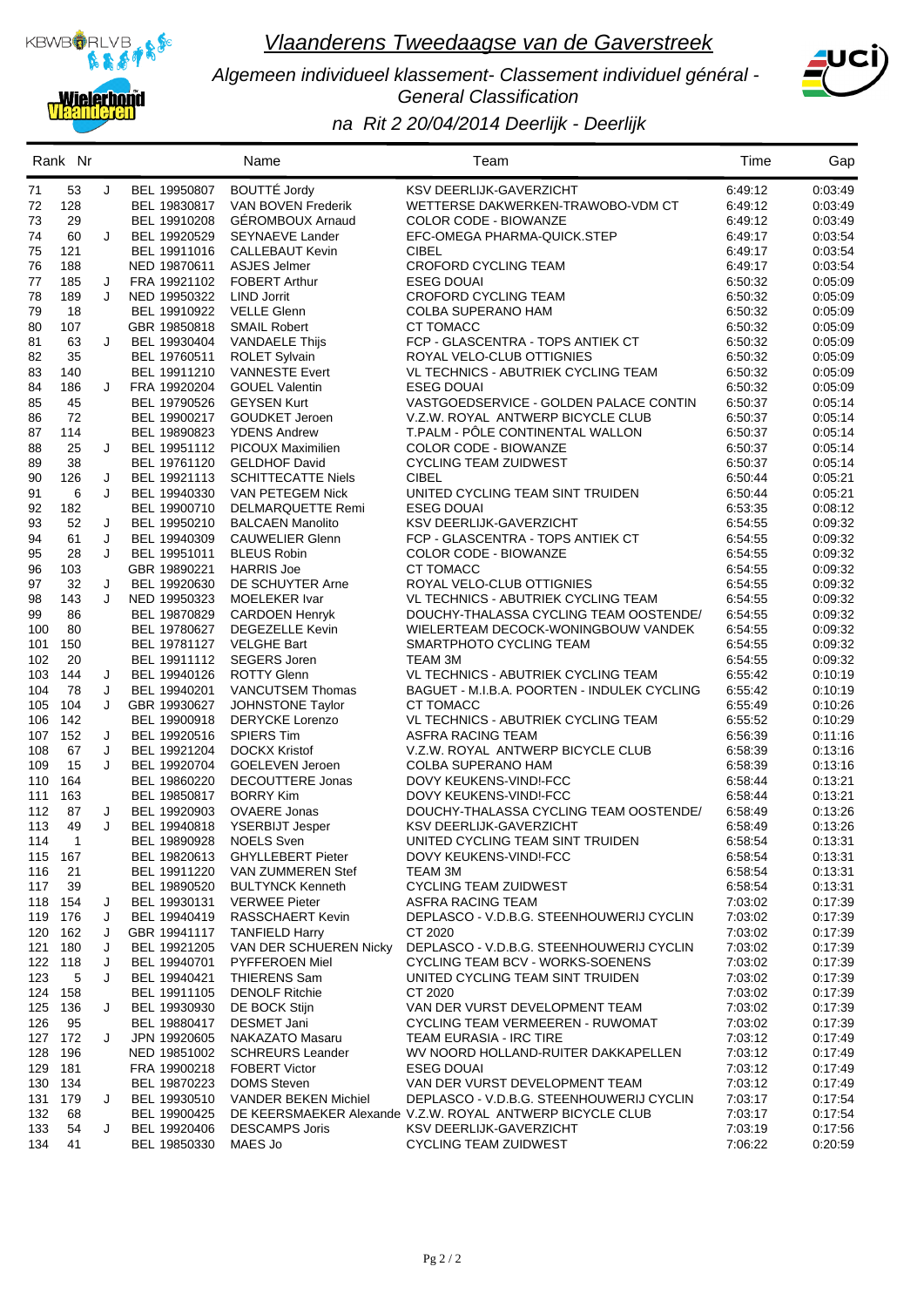

*Algemeen individueel klassement- Classement individuel général - General Classification*



# *na Rit 2 20/04/2014 Deerlijk - Deerlijk*

|            | Rank Nr                    |        |                              | Name                                            | Team                                                                 | Time               | Gap                |
|------------|----------------------------|--------|------------------------------|-------------------------------------------------|----------------------------------------------------------------------|--------------------|--------------------|
| 71         | 53                         | J      | BEL 19950807                 | <b>BOUTTÉ Jordy</b>                             | KSV DEERLIJK-GAVERZICHT                                              | 6:49:12            | 0:03:49            |
| 72         | 128                        |        | BEL 19830817                 | VAN BOVEN Frederik                              | WETTERSE DAKWERKEN-TRAWOBO-VDM CT                                    | 6:49:12            | 0:03:49            |
| 73         | 29                         |        | BEL 19910208                 | <b>GÉROMBOUX Arnaud</b>                         | COLOR CODE - BIOWANZE                                                | 6:49:12            | 0:03:49            |
| 74         | 60                         | J      | BEL 19920529                 | <b>SEYNAEVE Lander</b>                          | EFC-OMEGA PHARMA-QUICK.STEP                                          | 6:49:17            | 0:03:54            |
| 75         | 121                        |        | BEL 19911016                 | <b>CALLEBAUT Kevin</b>                          | <b>CIBEL</b>                                                         | 6:49:17            | 0:03:54            |
| 76         | 188                        |        | NED 19870611                 | ASJES Jelmer                                    | CROFORD CYCLING TEAM                                                 | 6:49:17            | 0:03:54            |
| 77         | 185                        | J      | FRA 19921102                 | <b>FOBERT Arthur</b>                            | <b>ESEG DOUAI</b>                                                    | 6:50:32            | 0:05:09            |
| 78         | 189                        | J      | NED 19950322                 | <b>LIND Jorrit</b>                              | <b>CROFORD CYCLING TEAM</b>                                          | 6:50:32            | 0:05:09            |
| 79<br>80   | 18<br>107                  |        | BEL 19910922<br>GBR 19850818 | <b>VELLE Glenn</b><br><b>SMAIL Robert</b>       | COLBA SUPERANO HAM<br><b>CT TOMACC</b>                               | 6.50.32<br>6:50:32 | 0:05:09<br>0:05:09 |
| 81         | 63                         | J      | BEL 19930404                 | <b>VANDAELE Thijs</b>                           | FCP - GLASCENTRA - TOPS ANTIEK CT                                    | 6.50.32            | 0:05:09            |
| 82         | 35                         |        | BEL 19760511                 | <b>ROLET Sylvain</b>                            | ROYAL VELO-CLUB OTTIGNIES                                            | 6:50:32            | 0:05:09            |
| 83         | 140                        |        | BEL 19911210                 | <b>VANNESTE Evert</b>                           | VL TECHNICS - ABUTRIEK CYCLING TEAM                                  | 6:50:32            | 0:05:09            |
| 84         | 186                        | J      | FRA 19920204                 | <b>GOUEL Valentin</b>                           | <b>ESEG DOUAI</b>                                                    | 6.50.32            | 0:05:09            |
| 85         | 45                         |        | BEL 19790526                 | <b>GEYSEN Kurt</b>                              | VASTGOEDSERVICE - GOLDEN PALACE CONTIN                               | 6:50:37            | 0:05:14            |
| 86         | 72                         |        | BEL 19900217                 | <b>GOUDKET Jeroen</b>                           | V.Z.W. ROYAL ANTWERP BICYCLE CLUB                                    | 6.50.37            | 0.05:14            |
| 87         | 114                        |        | BEL 19890823                 | <b>YDENS Andrew</b>                             | T.PALM - PÔLE CONTINENTAL WALLON                                     | 6:50:37            | 0.05:14            |
| 88         | 25                         | J      | BEL 19951112                 | <b>PICOUX Maximilien</b>                        | <b>COLOR CODE - BIOWANZE</b>                                         | 6:50:37            | 0:05:14            |
| 89         | 38                         |        | BEL 19761120                 | <b>GELDHOF David</b>                            | <b>CYCLING TEAM ZUIDWEST</b>                                         | 6:50:37            | 0:05:14            |
| 90         | 126                        | J      | BEL 19921113                 | <b>SCHITTECATTE Niels</b>                       | <b>CIBEL</b>                                                         | 6:50:44            | 0:05:21            |
| 91         | 6                          | J      | BEL 19940330                 | VAN PETEGEM Nick                                | UNITED CYCLING TEAM SINT TRUIDEN                                     | 6.50:44            | 0:05:21            |
| 92         | 182                        |        | BEL 19900710                 | DELMARQUETTE Remi                               | <b>ESEG DOUAI</b>                                                    | 6:53:35            | 0:08:12            |
| 93         | 52                         | J      | BEL 19950210                 | <b>BALCAEN Manolito</b>                         | <b>KSV DEERLIJK-GAVERZICHT</b>                                       | 6:54:55            | 0:09:32            |
| 94         | 61                         | J      | BEL 19940309                 | <b>CAUWELIER Glenn</b>                          | FCP - GLASCENTRA - TOPS ANTIEK CT                                    | 6:54:55            | 0:09:32            |
| 95         | 28                         | J      | BEL 19951011                 | <b>BLEUS Robin</b>                              | <b>COLOR CODE - BIOWANZE</b>                                         | 6.54.55            | 0:09:32            |
| 96         | 103                        |        | GBR 19890221                 | <b>HARRIS Joe</b>                               | CT TOMACC                                                            | 6:54:55            | 0:09:32            |
| 97         | 32                         | J      | BEL 19920630                 | DE SCHUYTER Arne                                | ROYAL VELO-CLUB OTTIGNIES                                            | 6:54:55            | 0:09:32            |
| 98         | 143                        | J      | NED 19950323                 | <b>MOELEKER Ivar</b>                            | VL TECHNICS - ABUTRIEK CYCLING TEAM                                  | 6:54:55            | 0:09:32            |
| 99         | 86                         |        | BEL 19870829                 | <b>CARDOEN Henryk</b>                           | DOUCHY-THALASSA CYCLING TEAM OOSTENDE/                               | 6:54:55            | 0:09:32            |
| 100        | 80<br>150                  |        | BEL 19780627                 | <b>DEGEZELLE Kevin</b>                          | WIELERTEAM DECOCK-WONINGBOUW VANDEK                                  | 6:54:55            | 0:09:32            |
| 101<br>102 | 20                         |        | BEL 19781127                 | <b>VELGHE Bart</b><br><b>SEGERS Joren</b>       | SMARTPHOTO CYCLING TEAM                                              | 6:54:55            | 0:09:32            |
| 103        | 144                        | J      | BEL 19911112<br>BEL 19940126 | <b>ROTTY Glenn</b>                              | TEAM 3M<br>VL TECHNICS - ABUTRIEK CYCLING TEAM                       | 6:54:55<br>6:55:42 | 0:09:32<br>0:10:19 |
| 104        | 78                         | J      | BEL 19940201                 | <b>VANCUTSEM Thomas</b>                         | BAGUET - M.I.B.A. POORTEN - INDULEK CYCLING                          | 6:55:42            | 0:10:19            |
| 105        | 104                        | J      | GBR 19930627                 | JOHNSTONE Taylor                                | <b>CT TOMACC</b>                                                     | 6:55:49            | 0:10:26            |
| 106        | 142                        |        | BEL 19900918                 | <b>DERYCKE Lorenzo</b>                          | VL TECHNICS - ABUTRIEK CYCLING TEAM                                  | 6:55:52            | 0:10:29            |
|            | 107 152                    | J      | BEL 19920516                 | <b>SPIERS Tim</b>                               | ASFRA RACING TEAM                                                    | 6.56.39            | 0:11:16            |
| 108        | 67                         | J      | BEL 19921204                 | <b>DOCKX Kristof</b>                            | V.Z.W. ROYAL ANTWERP BICYCLE CLUB                                    | 6:58:39            | 0:13:16            |
| 109        | 15                         | J      | BEL 19920704                 | <b>GOELEVEN Jeroen</b>                          | COLBA SUPERANO HAM                                                   | 6.58.39            | 0:13:16            |
| 110        | 164                        |        | BEL 19860220                 | DECOUTTERE Jonas                                | DOVY KEUKENS-VIND!-FCC                                               | 6:58:44            | 0:13:21            |
| 111        | 163                        |        | BEL 19850817                 | <b>BORRY Kim</b>                                | DOVY KEUKENS-VIND!-FCC                                               | 6.58.44            | 0:13:21            |
| 112        | 87                         | J      | BEL 19920903                 | <b>OVAERE Jonas</b>                             | DOUCHY-THALASSA CYCLING TEAM OOSTENDE/                               | 6:58:49            | 0:13:26            |
| 113        | 49                         | J      | BEL 19940818                 | <b>YSERBIJT Jesper</b>                          | KSV DEERLIJK-GAVERZICHT                                              | 6:58:49            | 0:13:26            |
| 114        | $\overline{\phantom{0}}$ 1 |        | BEL 19890928 NOELS Sven      |                                                 | UNITED CYCLING TEAM SINT TRUIDEN                                     | 6:58:54            | 0:13:31            |
|            | 115 167                    |        | BEL 19820613                 | <b>GHYLLEBERT Pieter</b>                        | DOVY KEUKENS-VIND!-FCC                                               | 6:58:54            | 0:13:31            |
| 116        | 21                         |        | BEL 19911220                 | VAN ZUMMEREN Stef                               | TEAM 3M                                                              | 6:58:54            | 0:13:31            |
| 117        | 39                         |        | BEL 19890520                 | <b>BULTYNCK Kenneth</b>                         | <b>CYCLING TEAM ZUIDWEST</b>                                         | 6:58:54            | 0:13:31            |
|            | 118 154                    | J      | BEL 19930131                 | <b>VERWEE Pieter</b>                            | ASFRA RACING TEAM                                                    | 7:03:02            | 0:17:39            |
| 119 176    |                            | J      | BEL 19940419                 | RASSCHAERT Kevin                                | DEPLASCO - V.D.B.G. STEENHOUWERIJ CYCLIN                             | 7:03:02            | 0:17:39            |
|            | 120 162                    | J      | GBR 19941117                 | <b>TANFIELD Harry</b>                           | CT 2020                                                              | 7:03:02            | 0:17:39            |
| 122 118    | 121 180                    | J<br>J | BEL 19921205<br>BEL 19940701 | VAN DER SCHUEREN Nicky<br><b>PYFFEROEN Miel</b> | DEPLASCO - V.D.B.G. STEENHOUWERIJ CYCLIN                             | 7:03:02            | 0:17:39            |
| 123        | 5                          | J      | BEL 19940421                 | THIERENS Sam                                    | CYCLING TEAM BCV - WORKS-SOENENS<br>UNITED CYCLING TEAM SINT TRUIDEN | 7:03:02<br>7:03:02 | 0:17:39<br>0:17:39 |
| 124 158    |                            |        | BEL 19911105                 | <b>DENOLF Ritchie</b>                           | CT 2020                                                              | 7:03:02            | 0:17:39            |
|            | 125 136                    | J      | BEL 19930930                 | DE BOCK Stijn                                   | VAN DER VURST DEVELOPMENT TEAM                                       | 7:03:02            | 0:17:39            |
| 126        | 95                         |        | BEL 19880417                 | DESMET Jani                                     | CYCLING TEAM VERMEEREN - RUWOMAT                                     | 7:03:02            | 0:17:39            |
|            | 127 172                    | J      | JPN 19920605                 | NAKAZATO Masaru                                 | <b>TEAM EURASIA - IRC TIRE</b>                                       | 7:03:12            | 0:17:49            |
|            | 128 196                    |        | NED 19851002                 | <b>SCHREURS Leander</b>                         | WV NOORD HOLLAND-RUITER DAKKAPELLEN                                  | 7:03:12            | 0:17:49            |
| 129 181    |                            |        | FRA 19900218                 | <b>FOBERT Victor</b>                            | <b>ESEG DOUAI</b>                                                    | 7:03:12            | 0:17:49            |
|            | 130 134                    |        | BEL 19870223                 | <b>DOMS</b> Steven                              | VAN DER VURST DEVELOPMENT TEAM                                       | 7:03:12            | 0.17.49            |
|            | 131 179                    | J      | BEL 19930510                 | <b>VANDER BEKEN Michiel</b>                     | DEPLASCO - V.D.B.G. STEENHOUWERIJ CYCLIN                             | 7:03:17            | 0:17:54            |
| 132        | 68                         |        | BEL 19900425                 |                                                 | DE KEERSMAEKER Alexande V.Z.W. ROYAL ANTWERP BICYCLE CLUB            | 7:03:17            | 0:17:54            |
| 133        | 54                         | J      | BEL 19920406                 | <b>DESCAMPS Joris</b>                           | KSV DEERLIJK-GAVERZICHT                                              | 7:03:19            | 0:17:56            |
| 134        | 41                         |        | BEL 19850330                 | MAES Jo                                         | <b>CYCLING TEAM ZUIDWEST</b>                                         | 7:06:22            | 0.20:59            |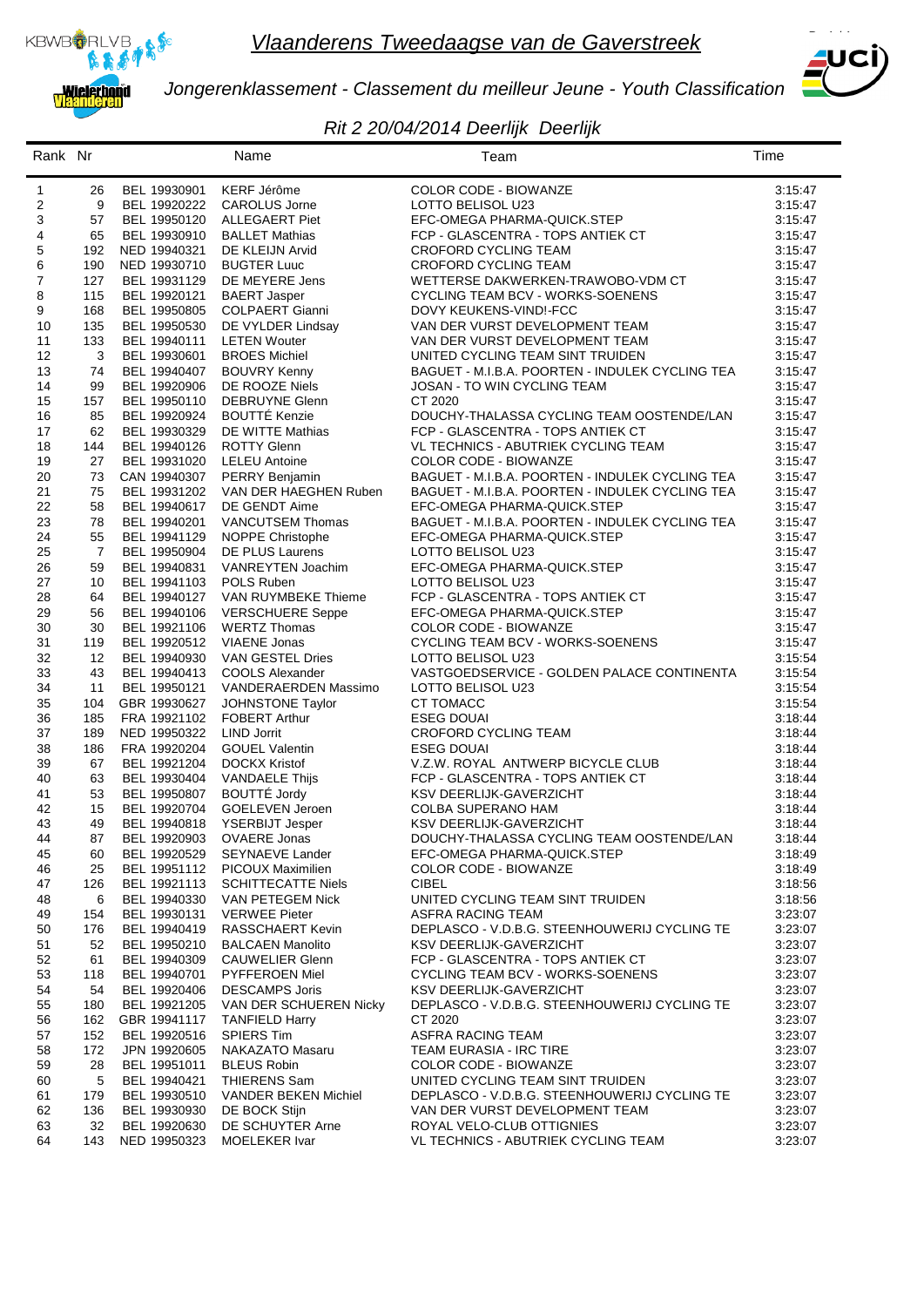



*Jongerenklassement - Classement du meilleur Jeune - Youth Classification*

#### *Rit 2 20/04/2014 Deerlijk Deerlijk*

| Rank Nr  |                |                              | Name                                           | Team                                                                  | Time               |
|----------|----------------|------------------------------|------------------------------------------------|-----------------------------------------------------------------------|--------------------|
| 1        | 26             | BEL 19930901                 | <b>KERF Jérôme</b>                             | COLOR CODE - BIOWANZE                                                 | 3:15:47            |
| 2        | 9              | BEL 19920222                 | CAROLUS Jorne                                  | LOTTO BELISOL U23                                                     | 3:15:47            |
| 3        | 57             | BEL 19950120                 | ALLEGAERT Piet                                 | EFC-OMEGA PHARMA-QUICK.STEP                                           | 3:15:47            |
| 4        | 65             | BEL 19930910                 | <b>BALLET Mathias</b>                          | FCP - GLASCENTRA - TOPS ANTIEK CT                                     | 3:15:47            |
| 5        | 192            | NED 19940321                 | DE KLEIJN Arvid                                | <b>CROFORD CYCLING TEAM</b>                                           | 3:15:47            |
| 6        | 190            | NED 19930710                 | <b>BUGTER Luuc</b>                             | CROFORD CYCLING TEAM                                                  | 3:15:47            |
| 7        | 127            | BEL 19931129                 | DE MEYERE Jens                                 | WETTERSE DAKWERKEN-TRAWOBO-VDM CT                                     | 3:15:47            |
| 8        | 115            | BEL 19920121                 | <b>BAERT Jasper</b>                            | CYCLING TEAM BCV - WORKS-SOENENS                                      | 3:15:47            |
| 9        | 168            | BEL 19950805                 | <b>COLPAERT Gianni</b>                         | DOVY KEUKENS-VIND!-FCC                                                | 3:15:47            |
| 10       | 135            | BEL 19950530                 | DE VYLDER Lindsay                              | VAN DER VURST DEVELOPMENT TEAM                                        | 3:15:47            |
| 11<br>12 | 133<br>3       | BEL 19940111<br>BEL 19930601 | <b>LETEN Wouter</b><br><b>BROES Michiel</b>    | VAN DER VURST DEVELOPMENT TEAM<br>UNITED CYCLING TEAM SINT TRUIDEN    | 3:15:47<br>3:15:47 |
| 13       | 74             | BEL 19940407                 | <b>BOUVRY Kenny</b>                            | BAGUET - M.I.B.A. POORTEN - INDULEK CYCLING TEA                       | 3:15:47            |
| 14       | 99             | BEL 19920906                 | DE ROOZE Niels                                 | JOSAN - TO WIN CYCLING TEAM                                           | 3.15.47            |
| 15       | 157            | BEL 19950110                 | DEBRUYNE Glenn                                 | CT 2020                                                               | 3:15:47            |
| 16       | 85             | BEL 19920924                 | <b>BOUTTÉ Kenzie</b>                           | DOUCHY-THALASSA CYCLING TEAM OOSTENDE/LAN                             | 3:15:47            |
| 17       | 62             | BEL 19930329                 | DE WITTE Mathias                               | FCP - GLASCENTRA - TOPS ANTIEK CT                                     | 3:15:47            |
| 18       | 144            | BEL 19940126                 | <b>ROTTY Glenn</b>                             | VL TECHNICS - ABUTRIEK CYCLING TEAM                                   | 3:15:47            |
| 19       | 27             | BEL 19931020                 | <b>LELEU Antoine</b>                           | COLOR CODE - BIOWANZE                                                 | 3:15:47            |
| 20       | 73             | CAN 19940307                 | PERRY Benjamin                                 | BAGUET - M.I.B.A. POORTEN - INDULEK CYCLING TEA                       | 3:15:47            |
| 21       | 75             | BEL 19931202                 | VAN DER HAEGHEN Ruben                          | BAGUET - M.I.B.A. POORTEN - INDULEK CYCLING TEA                       | 3:15:47            |
| 22       | 58             | BEL 19940617                 | DE GENDT Aime                                  | EFC-OMEGA PHARMA-QUICK.STEP                                           | 3:15:47            |
| 23       | 78             | BEL 19940201                 | VANCUTSEM Thomas                               | BAGUET - M.I.B.A. POORTEN - INDULEK CYCLING TEA                       | 3:15:47            |
| 24       | 55             | BEL 19941129                 | NOPPE Christophe                               | EFC-OMEGA PHARMA-QUICK.STEP                                           | 3:15:47            |
| 25       | $\overline{7}$ | BEL 19950904                 | <b>DE PLUS Laurens</b>                         | LOTTO BELISOL U23                                                     | 3:15:47            |
| 26       | 59             | BEL 19940831                 | VANREYTEN Joachim                              | EFC-OMEGA PHARMA-QUICK.STEP                                           | 3:15:47            |
| 27       | 10             | BEL 19941103                 | POLS Ruben                                     | LOTTO BELISOL U23                                                     | 3:15:47            |
| 28       | 64             | BEL 19940127                 | VAN RUYMBEKE Thieme                            | FCP - GLASCENTRA - TOPS ANTIEK CT                                     | 3:15:47            |
| 29       | 56             | BEL 19940106                 | <b>VERSCHUERE Seppe</b>                        | EFC-OMEGA PHARMA-QUICK.STEP                                           | 3:15:47            |
| 30       | 30             | BEL 19921106                 | <b>WERTZ Thomas</b>                            | COLOR CODE - BIOWANZE                                                 | 3:15:47            |
| 31       | 119            | BEL 19920512                 | VIAENE Jonas                                   | CYCLING TEAM BCV - WORKS-SOENENS                                      | 3:15:47            |
| 32       | 12<br>43       | BEL 19940930                 | VAN GESTEL Dries                               | LOTTO BELISOL U23                                                     | 3:15:54            |
| 33<br>34 | 11             | BEL 19940413<br>BEL 19950121 | <b>COOLS Alexander</b><br>VANDERAERDEN Massimo | VASTGOEDSERVICE - GOLDEN PALACE CONTINENTA<br>LOTTO BELISOL U23       | 3:15:54<br>3:15:54 |
| 35       | 104            | GBR 19930627                 | JOHNSTONE Taylor                               | CT TOMACC                                                             | 3:15:54            |
| 36       | 185            | FRA 19921102                 | <b>FOBERT Arthur</b>                           | <b>ESEG DOUAI</b>                                                     | 3:18:44            |
| 37       | 189            | NED 19950322                 | <b>LIND Jorrit</b>                             | CROFORD CYCLING TEAM                                                  | 3:18:44            |
| 38       | 186            | FRA 19920204                 | <b>GOUEL Valentin</b>                          | <b>ESEG DOUAI</b>                                                     | 3:18:44            |
| 39       | 67             | BEL 19921204                 | <b>DOCKX Kristof</b>                           | V.Z.W. ROYAL ANTWERP BICYCLE CLUB                                     | 3:18:44            |
| 40       | 63             | BEL 19930404                 | <b>VANDAELE Thijs</b>                          | FCP - GLASCENTRA - TOPS ANTIEK CT                                     | 3:18:44            |
| 41       | 53             | BEL 19950807                 | <b>BOUTTÉ Jordy</b>                            | KSV DEERLIJK-GAVERZICHT                                               | 3:18:44            |
| 42       | 15             | BEL 19920704                 | GOELEVEN Jeroen                                | COLBA SUPERANO HAM                                                    | 3:18:44            |
| 43       | 49             | BEL 19940818                 | <b>YSERBIJT Jesper</b>                         | KSV DEERLIJK-GAVERZICHT                                               | 3:18:44            |
| 44       | 87             | BEL 19920903                 | OVAERE Jonas                                   | DOUCHY-THALASSA CYCLING TEAM OOSTENDE/LAN                             | 3:18:44            |
| 45       | 60             | BEL 19920529                 | SEYNAEVE Lander                                | EFC-OMEGA PHARMA-QUICK.STEP                                           | 3:18:49            |
| 46       | 25             | BEL 19951112                 | <b>PICOUX Maximilien</b>                       | COLOR CODE - BIOWANZE                                                 | 3:18:49            |
| 47       | 126            | BEL 19921113                 | <b>SCHITTECATTE Niels</b>                      | <b>CIBEL</b>                                                          | 3:18:56            |
| 48       | 6              | BEL 19940330                 | VAN PETEGEM Nick                               | UNITED CYCLING TEAM SINT TRUIDEN                                      | 3:18:56            |
| 49       | 154            | BEL 19930131                 | <b>VERWEE Pieter</b>                           | ASFRA RACING TEAM                                                     | 3:23:07            |
| 50       | 176            | BEL 19940419                 | RASSCHAERT Kevin                               | DEPLASCO - V.D.B.G. STEENHOUWERIJ CYCLING TE                          | 3:23:07            |
| 51       | 52             | BEL 19950210                 | <b>BALCAEN Manolito</b>                        | <b>KSV DEERLIJK-GAVERZICHT</b>                                        | 3:23:07            |
| 52<br>53 | 61             | BEL 19940309<br>BEL 19940701 | <b>CAUWELIER Glenn</b><br>PYFFEROEN Miel       | FCP - GLASCENTRA - TOPS ANTIEK CT<br>CYCLING TEAM BCV - WORKS-SOENENS | 3:23:07            |
| 54       | 118<br>54      | BEL 19920406                 | <b>DESCAMPS Joris</b>                          | <b>KSV DEERLIJK-GAVERZICHT</b>                                        | 3:23:07<br>3:23:07 |
| 55       | 180            | BEL 19921205                 | VAN DER SCHUEREN Nicky                         | DEPLASCO - V.D.B.G. STEENHOUWERIJ CYCLING TE                          | 3:23:07            |
| 56       | 162            | GBR 19941117                 | <b>TANFIELD Harry</b>                          | CT 2020                                                               | 3:23:07            |
| 57       | 152            | BEL 19920516                 | <b>SPIERS Tim</b>                              | ASFRA RACING TEAM                                                     | 3:23:07            |
| 58       | 172            | JPN 19920605                 | NAKAZATO Masaru                                | <b>TEAM EURASIA - IRC TIRE</b>                                        | 3:23:07            |
| 59       | 28             | BEL 19951011                 | <b>BLEUS Robin</b>                             | COLOR CODE - BIOWANZE                                                 | 3:23:07            |
| 60       | 5              | BEL 19940421                 | THIERENS Sam                                   | UNITED CYCLING TEAM SINT TRUIDEN                                      | 3:23:07            |
| 61       | 179            | BEL 19930510                 | VANDER BEKEN Michiel                           | DEPLASCO - V.D.B.G. STEENHOUWERIJ CYCLING TE                          | 3:23:07            |
| 62       | 136            | BEL 19930930                 | DE BOCK Stijn                                  | VAN DER VURST DEVELOPMENT TEAM                                        | 3:23:07            |
| 63       | 32             | BEL 19920630                 | DE SCHUYTER Arne                               | ROYAL VELO-CLUB OTTIGNIES                                             | 3:23:07            |
| 64       | 143            | NED 19950323                 | MOELEKER Ivar                                  | VL TECHNICS - ABUTRIEK CYCLING TEAM                                   | 3:23:07            |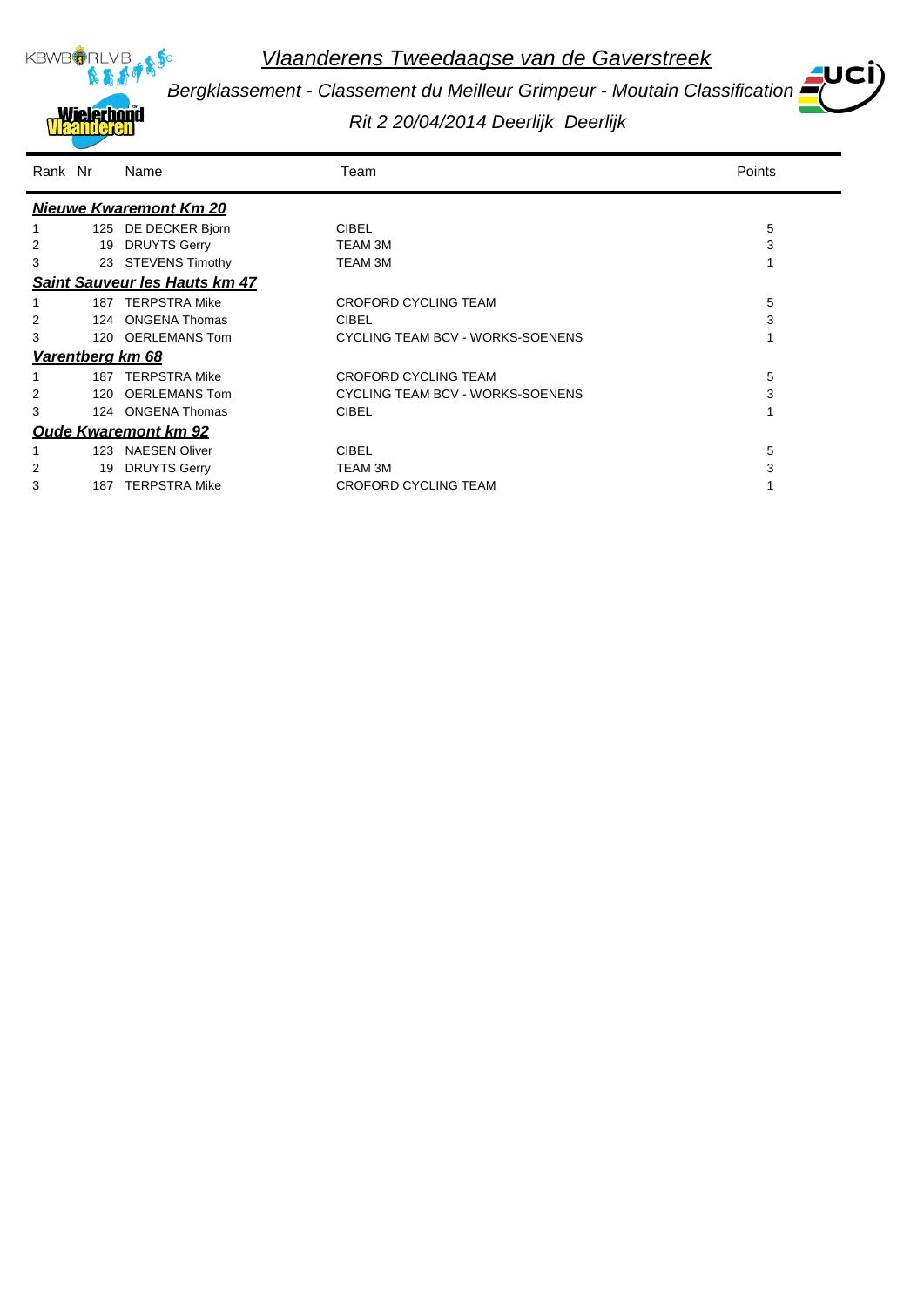

*Bergklassement - Classement du Meilleur Grimpeur - Moutain Classification*

*Rit 2 20/04/2014 Deerlijk Deerlijk*

| Rank Nr |     | Name                                 | Team                             | Points |
|---------|-----|--------------------------------------|----------------------------------|--------|
|         |     | <b>Nieuwe Kwaremont Km 20</b>        |                                  |        |
|         | 125 | DE DECKER Bjorn                      | <b>CIBEL</b>                     | 5      |
| 2       | 19  | <b>DRUYTS Gerry</b>                  | TEAM 3M                          | 3      |
| 3       |     | 23 STEVENS Timothy                   | TEAM 3M                          |        |
|         |     | <b>Saint Sauveur les Hauts km 47</b> |                                  |        |
|         |     | 187 TERPSTRA Mike                    | CROFORD CYCLING TEAM             | 5      |
| 2       | 124 | <b>ONGENA Thomas</b>                 | <b>CIBEL</b>                     | 3      |
| 3       | 120 | <b>OERLEMANS Tom</b>                 | CYCLING TEAM BCV - WORKS-SOENENS |        |
|         |     | Varentberg km 68                     |                                  |        |
|         | 187 | <b>TERPSTRA Mike</b>                 | CROFORD CYCLING TEAM             | 5      |
|         | 120 | OERLEMANS Tom                        | CYCLING TEAM BCV - WORKS-SOENENS | 3      |
| 3       |     | 124 ONGENA Thomas                    | <b>CIBEL</b>                     |        |
|         |     | <b>Oude Kwaremont km 92</b>          |                                  |        |
|         | 123 | <b>NAESEN Oliver</b>                 | <b>CIBEL</b>                     | 5      |
| 2       | 19  | <b>DRUYTS Gerry</b>                  | <b>TEAM 3M</b>                   | 3      |
| 3       | 187 | <b>TERPSTRA Mike</b>                 | CROFORD CYCLING TEAM             |        |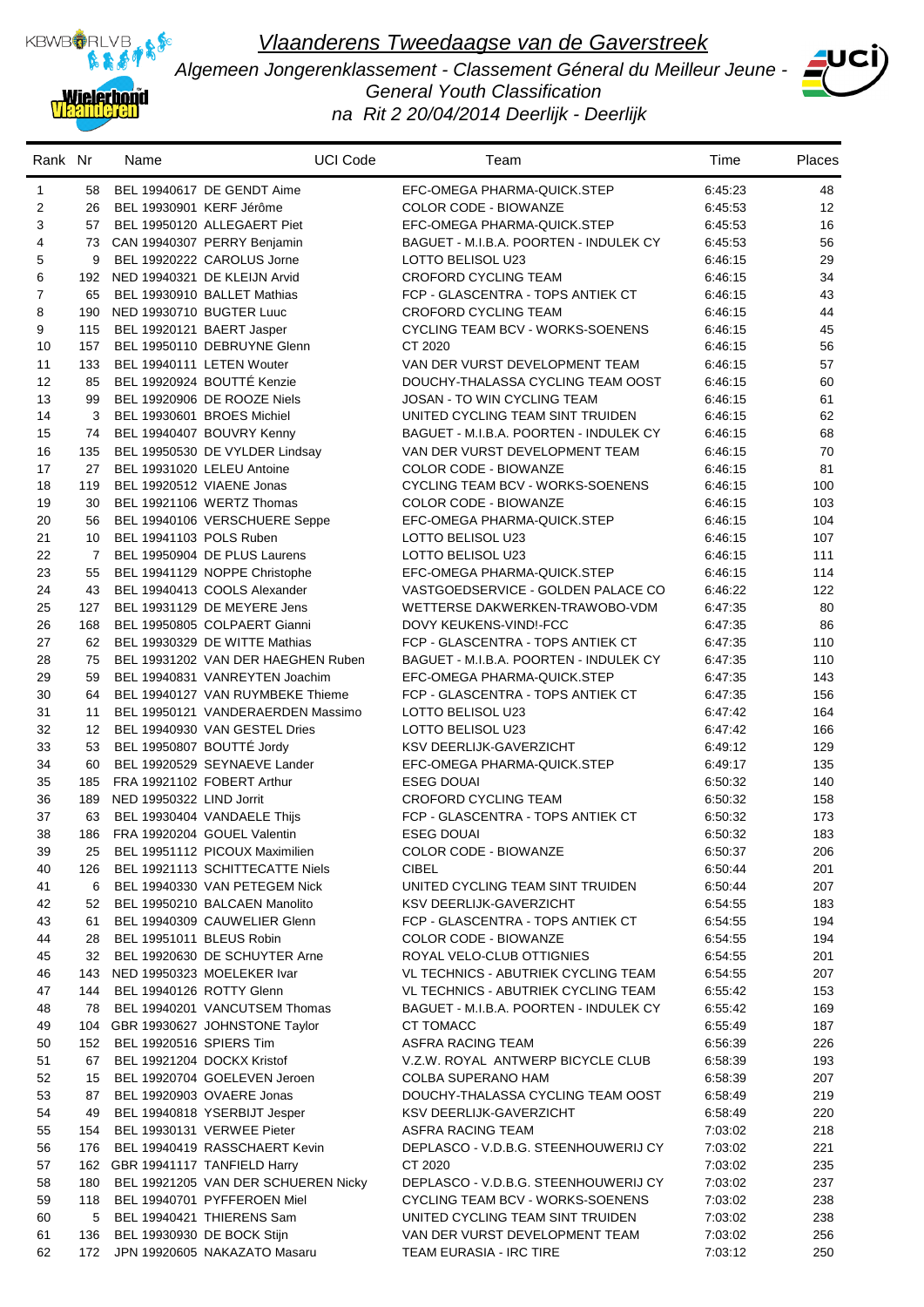

*Algemeen Jongerenklassement - Classement Géneral du Meilleur Jeune - General Youth Classification na Rit 2 20/04/2014 Deerlijk - Deerlijk*



| Rank Nr             |                | Name                     | <b>UCI Code</b>                                                    | Team                                                                     | Time               | <b>Places</b> |
|---------------------|----------------|--------------------------|--------------------------------------------------------------------|--------------------------------------------------------------------------|--------------------|---------------|
| 1                   | 58             |                          | BEL 19940617 DE GENDT Aime                                         | EFC-OMEGA PHARMA-QUICK.STEP                                              | 6:45:23            | 48            |
| 2                   | 26             | BEL 19930901 KERF Jérôme |                                                                    | <b>COLOR CODE - BIOWANZE</b>                                             | 6:45:53            | 12            |
| 3                   | 57             |                          | BEL 19950120 ALLEGAERT Piet                                        | EFC-OMEGA PHARMA-QUICK.STEP                                              | 6.45.53            | 16            |
| 4                   |                |                          | 73 CAN 19940307 PERRY Benjamin                                     | BAGUET - M.I.B.A. POORTEN - INDULEK CY                                   | 6:45:53            | 56            |
| 5                   | 9              |                          | BEL 19920222 CAROLUS Jorne                                         | LOTTO BELISOL U23                                                        | 6:46:15            | 29            |
| 6<br>$\overline{7}$ | 192            |                          | NED 19940321 DE KLEIJN Arvid                                       | CROFORD CYCLING TEAM                                                     | 6:46:15            | 34            |
| 8                   | 65<br>190      | NED 19930710 BUGTER Luuc | BEL 19930910 BALLET Mathias                                        | FCP - GLASCENTRA - TOPS ANTIEK CT<br>CROFORD CYCLING TEAM                | 6:46:15            | 43<br>44      |
| 9                   | 115            |                          | BEL 19920121 BAERT Jasper                                          | CYCLING TEAM BCV - WORKS-SOENENS                                         | 6:46:15<br>6:46:15 | 45            |
| 10                  | 157            |                          | BEL 19950110 DEBRUYNE Glenn                                        | CT 2020                                                                  | 6:46:15            | 56            |
| 11                  | 133            |                          | BEL 19940111 LETEN Wouter                                          | VAN DER VURST DEVELOPMENT TEAM                                           | 6:46:15            | 57            |
| 12                  | 85             |                          | BEL 19920924 BOUTTÉ Kenzie                                         | DOUCHY-THALASSA CYCLING TEAM OOST                                        | 6:46:15            | 60            |
| 13                  | 99             |                          | BEL 19920906 DE ROOZE Niels                                        | JOSAN - TO WIN CYCLING TEAM                                              | 6:46:15            | 61            |
| 14                  | 3              |                          | BEL 19930601 BROES Michiel                                         | UNITED CYCLING TEAM SINT TRUIDEN                                         | 6:46:15            | 62            |
| 15                  | 74             |                          | BEL 19940407 BOUVRY Kenny                                          | BAGUET - M.I.B.A. POORTEN - INDULEK CY                                   | 6:46:15            | 68            |
| 16                  | 135            |                          | BEL 19950530 DE VYLDER Lindsay                                     | VAN DER VURST DEVELOPMENT TEAM                                           | 6:46:15            | 70            |
| 17                  | 27             |                          | BEL 19931020 LELEU Antoine                                         | <b>COLOR CODE - BIOWANZE</b>                                             | 6:46:15            | 81            |
| 18                  | 119            |                          | BEL 19920512 VIAENE Jonas                                          | CYCLING TEAM BCV - WORKS-SOENENS                                         | 6.46.15            | 100           |
| 19                  | 30             |                          | BEL 19921106 WERTZ Thomas                                          | <b>COLOR CODE - BIOWANZE</b>                                             | 6:46:15            | 103           |
| 20                  | 56             |                          | BEL 19940106 VERSCHUERE Seppe                                      | EFC-OMEGA PHARMA-QUICK.STEP                                              | 6:46:15            | 104           |
| 21                  | 10             | BEL 19941103 POLS Ruben  |                                                                    | LOTTO BELISOL U23                                                        | 6:46:15            | 107           |
| 22                  | $\overline{7}$ |                          | BEL 19950904 DE PLUS Laurens                                       | LOTTO BELISOL U23                                                        | 6:46:15            | 111           |
| 23                  | 55             |                          | BEL 19941129 NOPPE Christophe                                      | EFC-OMEGA PHARMA-QUICK.STEP                                              | 6:46:15            | 114           |
| 24                  | 43             |                          | BEL 19940413 COOLS Alexander                                       | VASTGOEDSERVICE - GOLDEN PALACE CO                                       | 6:46:22            | 122           |
| 25<br>26            | 127            |                          | BEL 19931129 DE MEYERE Jens                                        | WETTERSE DAKWERKEN-TRAWOBO-VDM                                           | 6:47:35            | 80            |
| 27                  | 168<br>62      |                          | BEL 19950805 COLPAERT Gianni<br>BEL 19930329 DE WITTE Mathias      | DOVY KEUKENS-VIND!-FCC<br>FCP - GLASCENTRA - TOPS ANTIEK CT              | 6.47.35<br>6:47:35 | 86<br>110     |
| 28                  | 75             |                          | BEL 19931202 VAN DER HAEGHEN Ruben                                 | BAGUET - M.I.B.A. POORTEN - INDULEK CY                                   | 6:47:35            | 110           |
| 29                  | 59             |                          | BEL 19940831 VANREYTEN Joachim                                     | EFC-OMEGA PHARMA-QUICK.STEP                                              | 6:47:35            | 143           |
| 30                  | 64             |                          | BEL 19940127 VAN RUYMBEKE Thieme                                   | FCP - GLASCENTRA - TOPS ANTIEK CT                                        | 6:47:35            | 156           |
| 31                  | 11             |                          | BEL 19950121 VANDERAERDEN Massimo                                  | LOTTO BELISOL U23                                                        | 6:47:42            | 164           |
| 32                  | 12             |                          | BEL 19940930 VAN GESTEL Dries                                      | LOTTO BELISOL U23                                                        | 6:47:42            | 166           |
| 33                  | 53             |                          | BEL 19950807 BOUTTÉ Jordy                                          | KSV DEERLIJK-GAVERZICHT                                                  | 6:49:12            | 129           |
| 34                  | 60             |                          | BEL 19920529 SEYNAEVE Lander                                       | EFC-OMEGA PHARMA-QUICK.STEP                                              | 6:49:17            | 135           |
| 35                  | 185            |                          | FRA 19921102 FOBERT Arthur                                         | <b>ESEG DOUAI</b>                                                        | 6:50:32            | 140           |
| 36                  | 189            | NED 19950322 LIND Jorrit |                                                                    | <b>CROFORD CYCLING TEAM</b>                                              | 6:50:32            | 158           |
| 37                  | 63             |                          | BEL 19930404 VANDAELE Thijs                                        | FCP - GLASCENTRA - TOPS ANTIEK CT                                        | 6:50:32            | 173           |
| 38                  | 186            |                          | FRA 19920204 GOUEL Valentin                                        | <b>ESEG DOUAI</b>                                                        | 6:50:32            | 183           |
| 39                  | 25             |                          | BEL 19951112 PICOUX Maximilien                                     | COLOR CODE - BIOWANZE                                                    | 6:50:37            | 206           |
| 40                  | 126            |                          | BEL 19921113 SCHITTECATTE Niels                                    | <b>CIBEL</b>                                                             | 6:50:44            | 201           |
| 41                  | 6              |                          | BEL 19940330 VAN PETEGEM Nick                                      | UNITED CYCLING TEAM SINT TRUIDEN<br>KSV DEERLIJK-GAVERZICHT              | 6:50:44            | 207           |
| 42<br>43            | 52<br>61       |                          | BEL 19950210 BALCAEN Manolito<br>BEL 19940309 CAUWELIER Glenn      | FCP - GLASCENTRA - TOPS ANTIEK CT                                        | 6:54:55<br>6:54:55 | 183<br>194    |
| 44                  | 28             | BEL 19951011 BLEUS Robin |                                                                    | <b>COLOR CODE - BIOWANZE</b>                                             | 6:54:55            | 194           |
| 45                  | 32             |                          | BEL 19920630 DE SCHUYTER Arne                                      | ROYAL VELO-CLUB OTTIGNIES                                                | 6:54:55            | 201           |
| 46                  | 143            |                          | NED 19950323 MOELEKER Ivar                                         | VL TECHNICS - ABUTRIEK CYCLING TEAM                                      | 6:54:55            | 207           |
| 47                  | 144            | BEL 19940126 ROTTY Glenn |                                                                    | VL TECHNICS - ABUTRIEK CYCLING TEAM                                      | 6:55:42            | 153           |
| 48                  | 78             |                          | BEL 19940201 VANCUTSEM Thomas                                      | BAGUET - M.I.B.A. POORTEN - INDULEK CY                                   | 6:55:42            | 169           |
| 49                  | 104            |                          | GBR 19930627 JOHNSTONE Taylor                                      | CT TOMACC                                                                | 6:55:49            | 187           |
| 50                  | 152            | BEL 19920516 SPIERS Tim  |                                                                    | ASFRA RACING TEAM                                                        | 6:56:39            | 226           |
| 51                  | 67             |                          | BEL 19921204 DOCKX Kristof                                         | V.Z.W. ROYAL ANTWERP BICYCLE CLUB                                        | 6:58:39            | 193           |
| 52                  | 15             |                          | BEL 19920704 GOELEVEN Jeroen                                       | COLBA SUPERANO HAM                                                       | 6:58:39            | 207           |
| 53                  | 87             |                          | BEL 19920903 OVAERE Jonas                                          | DOUCHY-THALASSA CYCLING TEAM OOST                                        | 6:58:49            | 219           |
| 54                  | 49             |                          | BEL 19940818 YSERBIJT Jesper                                       | KSV DEERLIJK-GAVERZICHT                                                  | 6:58:49            | 220           |
| 55                  | 154            |                          | BEL 19930131 VERWEE Pieter                                         | ASFRA RACING TEAM                                                        | 7:03:02            | 218           |
| 56                  | 176            |                          | BEL 19940419 RASSCHAERT Kevin                                      | DEPLASCO - V.D.B.G. STEENHOUWERIJ CY                                     | 7:03:02            | 221           |
| 57                  |                |                          | 162 GBR 19941117 TANFIELD Harry                                    | CT 2020                                                                  | 7:03:02            | 235           |
| 58<br>59            | 180<br>118     |                          | BEL 19921205 VAN DER SCHUEREN Nicky<br>BEL 19940701 PYFFEROEN Miel | DEPLASCO - V.D.B.G. STEENHOUWERIJ CY<br>CYCLING TEAM BCV - WORKS-SOENENS | 7:03:02<br>7:03:02 | 237<br>238    |
| 60                  | 5              |                          | BEL 19940421 THIERENS Sam                                          | UNITED CYCLING TEAM SINT TRUIDEN                                         | 7:03:02            | 238           |
| 61                  | 136            |                          | BEL 19930930 DE BOCK Stijn                                         | VAN DER VURST DEVELOPMENT TEAM                                           | 7:03:02            | 256           |
| 62                  | 172            |                          | JPN 19920605 NAKAZATO Masaru                                       | TEAM EURASIA - IRC TIRE                                                  | 7:03:12            | 250           |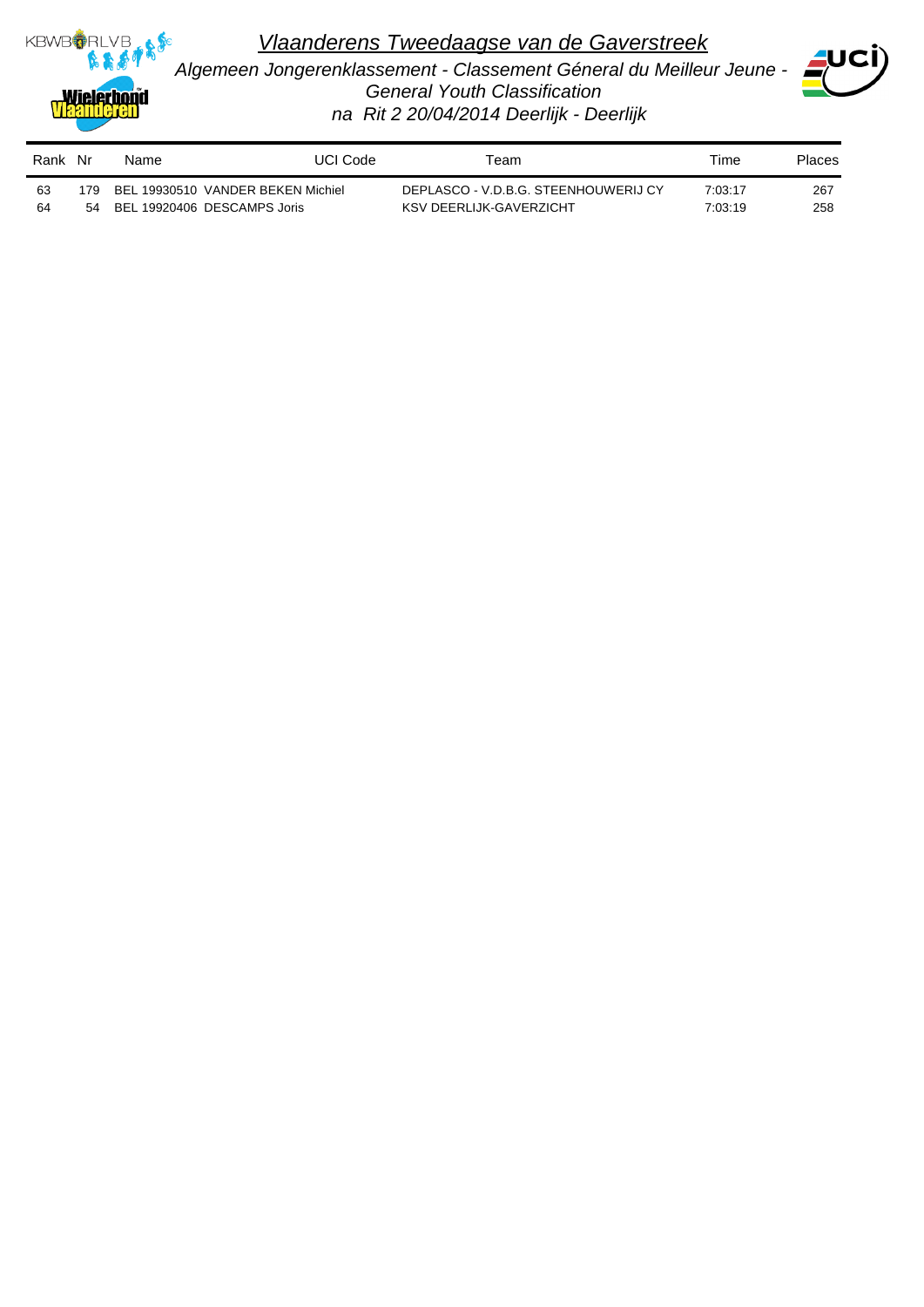

*Algemeen Jongerenklassement - Classement Géneral du Meilleur Jeune - General Youth Classification na Rit 2 20/04/2014 Deerlijk - Deerlijk*



| Rank Nr |      | Name                              | UCI Code | Геаm                                 | Time    | Places |
|---------|------|-----------------------------------|----------|--------------------------------------|---------|--------|
| 63      | 179. | BEL 19930510 VANDER BEKEN Michiel |          | DEPLASCO - V.D.B.G. STEENHOUWERIJ CY | 7:03:17 | 267    |
| 64      | 54   | BEL 19920406 DESCAMPS Joris       |          | KSV DEERLIJK-GAVERZICHT              | 7:03:19 | 258    |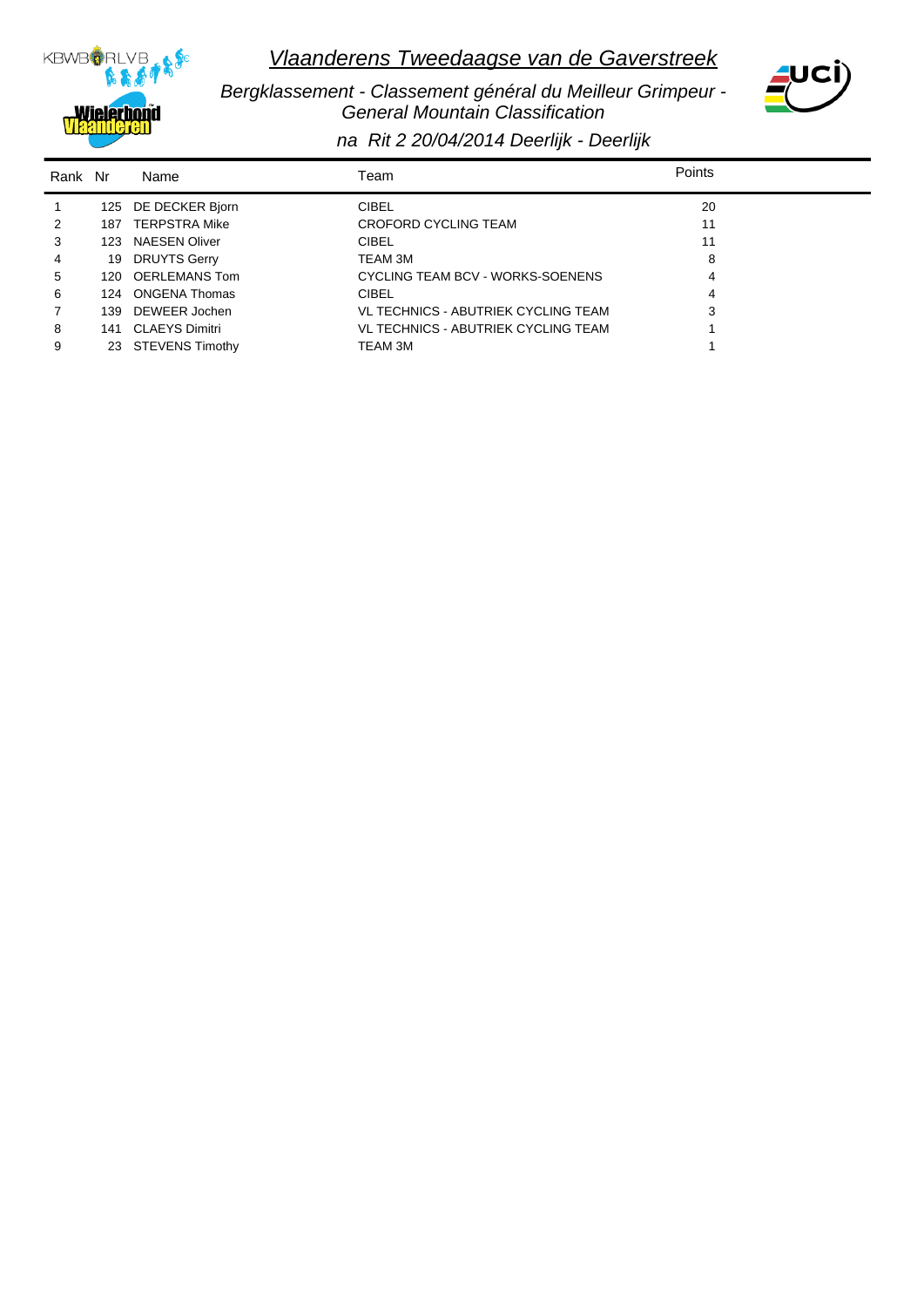

 *Bergklassement - Classement général du Meilleur Grimpeur - General Mountain Classification*



*na Rit 2 20/04/2014 Deerlijk - Deerlijk*

| Rank Nr        |     | Name                | Team                                | Points |
|----------------|-----|---------------------|-------------------------------------|--------|
| $\mathbf{1}$   |     | 125 DE DECKER Bjorn | <b>CIBEL</b>                        | 20     |
| 2              | 187 | TERPSTRA Mike       | CROFORD CYCLING TEAM                | 11     |
| 3              |     | 123 NAESEN Oliver   | <b>CIBEL</b>                        | 11     |
| $\overline{4}$ | 19  | <b>DRUYTS Gerry</b> | TEAM 3M                             | 8      |
| 5              |     | 120 OERLEMANS Tom   | CYCLING TEAM BCV - WORKS-SOENENS    | 4      |
| 6              |     | 124 ONGENA Thomas   | <b>CIBEL</b>                        | 4      |
| 7              |     | 139 DEWEER Jochen   | VL TECHNICS - ABUTRIEK CYCLING TEAM | 3      |
| 8              |     | 141 CLAEYS Dimitri  | VL TECHNICS - ABUTRIEK CYCLING TEAM |        |
| 9              |     | 23 STEVENS Timothy  | TEAM 3M                             |        |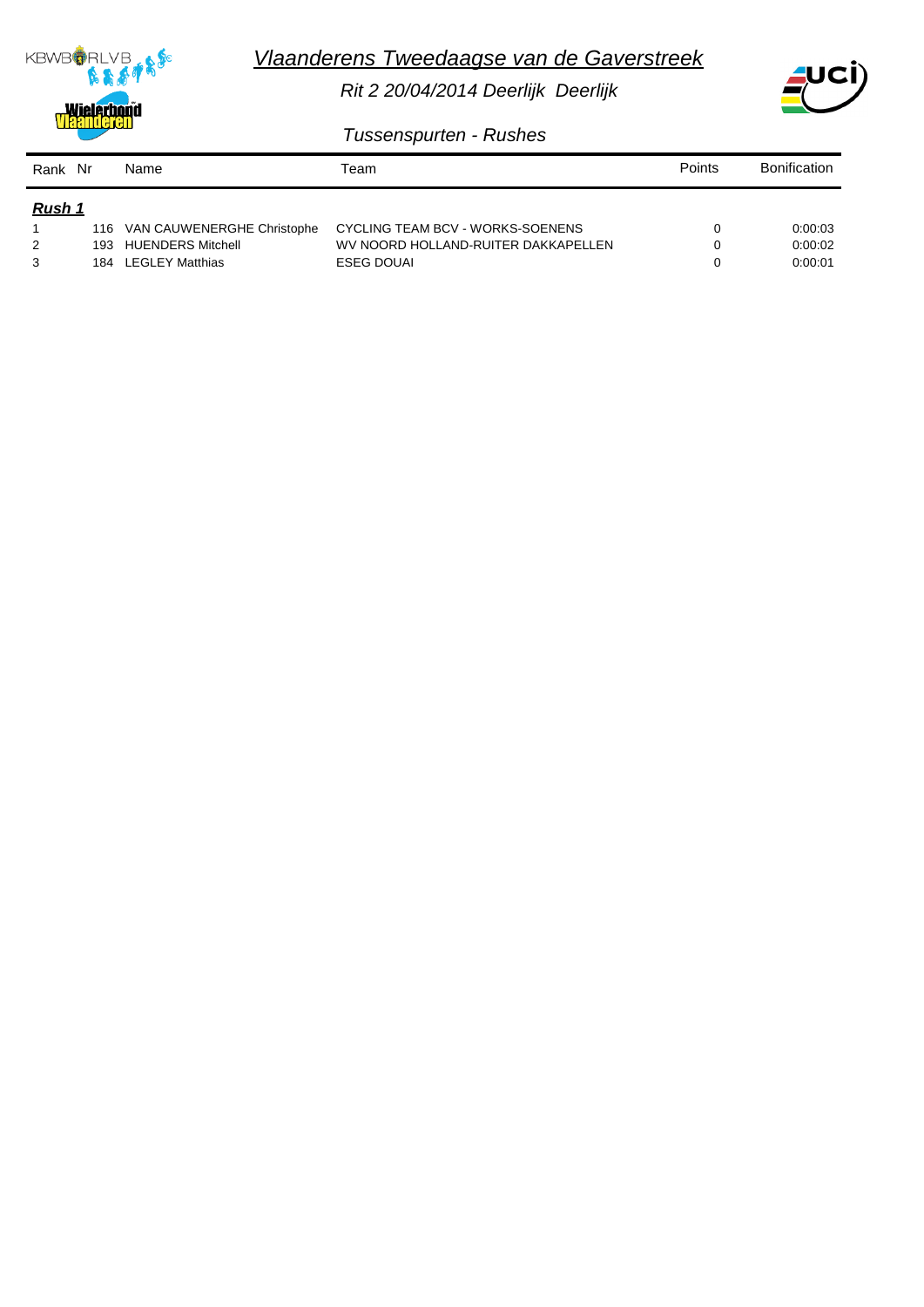

*Rit 2 20/04/2014 Deerlijk Deerlijk*



 *Tussenspurten - Rushes*

**KBWB**ORLVB

**Wielerbond** 

Spo

| Rank Nr       |      | Name                       | Team                                | Points | <b>Bonification</b> |
|---------------|------|----------------------------|-------------------------------------|--------|---------------------|
| <u>Rush 1</u> |      |                            |                                     |        |                     |
|               | 116. | VAN CAUWENERGHE Christophe | CYCLING TEAM BCV - WORKS-SOENENS    |        | 0.00.03             |
| 2             | 193  | <b>HUENDERS Mitchell</b>   | WV NOORD HOLLAND-RUITER DAKKAPELLEN | 0      | 0.00.02             |
| 3             | 184  | <b>LEGLEY Matthias</b>     | <b>ESEG DOUAL</b>                   |        | 0:00:01             |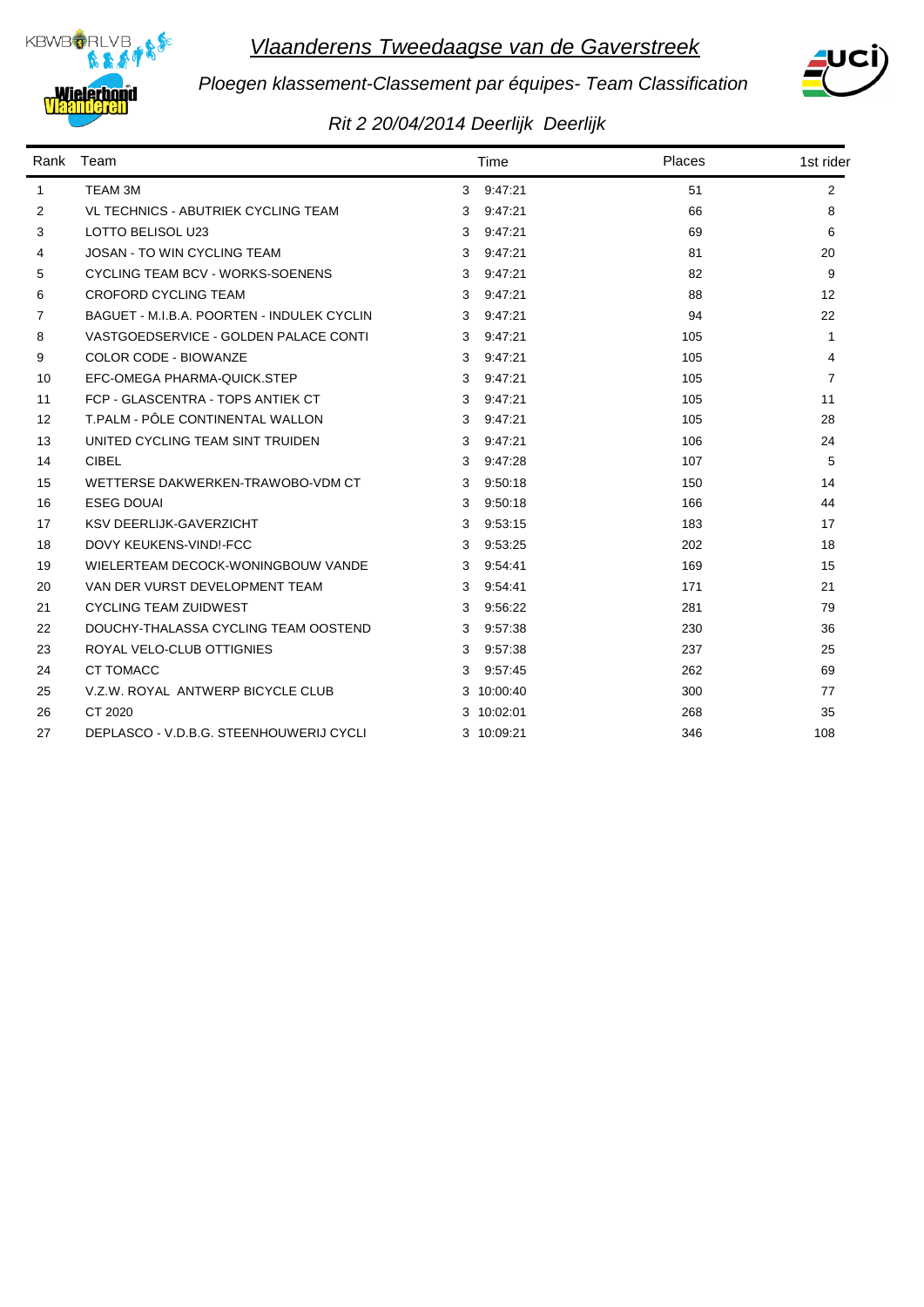



*Ploegen klassement-Classement par équipes- Team Classification*

## *Rit 2 20/04/2014 Deerlijk Deerlijk*

|                   | Rank Team                                  |   | Time       | Places | 1st rider      |
|-------------------|--------------------------------------------|---|------------|--------|----------------|
| 1                 | TEAM 3M                                    |   | 3 9:47:21  | 51     | $\overline{2}$ |
| 2                 | <b>VL TECHNICS - ABUTRIEK CYCLING TEAM</b> | 3 | 9:47:21    | 66     | 8              |
| 3                 | LOTTO BELISOL U23                          | 3 | 9:47:21    | 69     | 6              |
| 4                 | <b>JOSAN - TO WIN CYCLING TEAM</b>         | 3 | 9:47:21    | 81     | 20             |
| 5                 | CYCLING TEAM BCV - WORKS-SOENENS           | 3 | 9:47:21    | 82     | 9              |
| 6                 | <b>CROFORD CYCLING TEAM</b>                | 3 | 9:47:21    | 88     | 12             |
| 7                 | BAGUET - M.I.B.A. POORTEN - INDULEK CYCLIN | 3 | 9:47:21    | 94     | 22             |
| 8                 | VASTGOEDSERVICE - GOLDEN PALACE CONTI      | 3 | 9:47:21    | 105    | $\mathbf{1}$   |
| 9                 | <b>COLOR CODE - BIOWANZE</b>               | 3 | 9:47:21    | 105    | 4              |
| 10                | EFC-OMEGA PHARMA-QUICK.STEP                | 3 | 9:47:21    | 105    | $\overline{7}$ |
| 11                | FCP - GLASCENTRA - TOPS ANTIEK CT          | 3 | 9:47:21    | 105    | 11             |
| $12 \overline{ }$ | T.PALM - PÔLE CONTINENTAL WALLON           | 3 | 9:47:21    | 105    | 28             |
| 13                | UNITED CYCLING TEAM SINT TRUIDEN           | 3 | 9:47:21    | 106    | 24             |
| 14                | <b>CIBEL</b>                               | 3 | 9:47:28    | 107    | 5              |
| 15                | WETTERSE DAKWERKEN-TRAWOBO-VDM CT          | 3 | 9:50:18    | 150    | 14             |
| 16                | <b>ESEG DOUAL</b>                          | 3 | 9:50:18    | 166    | 44             |
| 17                | <b>KSV DEERLIJK-GAVERZICHT</b>             | 3 | 9:53:15    | 183    | 17             |
| 18                | DOVY KEUKENS-VIND!-FCC                     | 3 | 9:53:25    | 202    | 18             |
| 19                | WIELERTEAM DECOCK-WONINGBOUW VANDE         | 3 | 9:54:41    | 169    | 15             |
| 20                | VAN DER VURST DEVELOPMENT TEAM             | 3 | 9:54:41    | 171    | 21             |
| 21                | <b>CYCLING TEAM ZUIDWEST</b>               | 3 | 9:56:22    | 281    | 79             |
| 22                | DOUCHY-THALASSA CYCLING TEAM OOSTEND       | 3 | 9:57:38    | 230    | 36             |
| 23                | ROYAL VELO-CLUB OTTIGNIES                  | 3 | 9:57:38    | 237    | 25             |
| 24                | CT TOMACC                                  | 3 | 9:57:45    | 262    | 69             |
| 25                | V.Z.W. ROYAL ANTWERP BICYCLE CLUB          |   | 3 10:00:40 | 300    | 77             |
| 26                | CT 2020                                    |   | 3 10:02:01 | 268    | 35             |
| 27                | DEPLASCO - V.D.B.G. STEENHOUWERIJ CYCLI    |   | 3 10:09:21 | 346    | 108            |